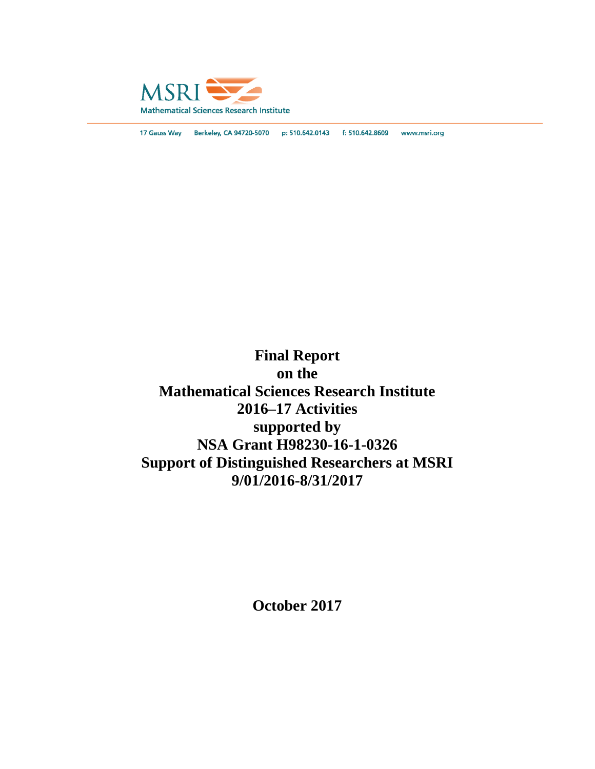

17 Gauss Way Berkeley, CA 94720-5070 p: 510.642.0143 f: 510.642.8609 www.msri.org

**Final Report on the Mathematical Sciences Research Institute 2016–17 Activities supported by NSA Grant H98230-16-1-0326 Support of Distinguished Researchers at MSRI 9/01/2016-8/31/2017**

**October 2017**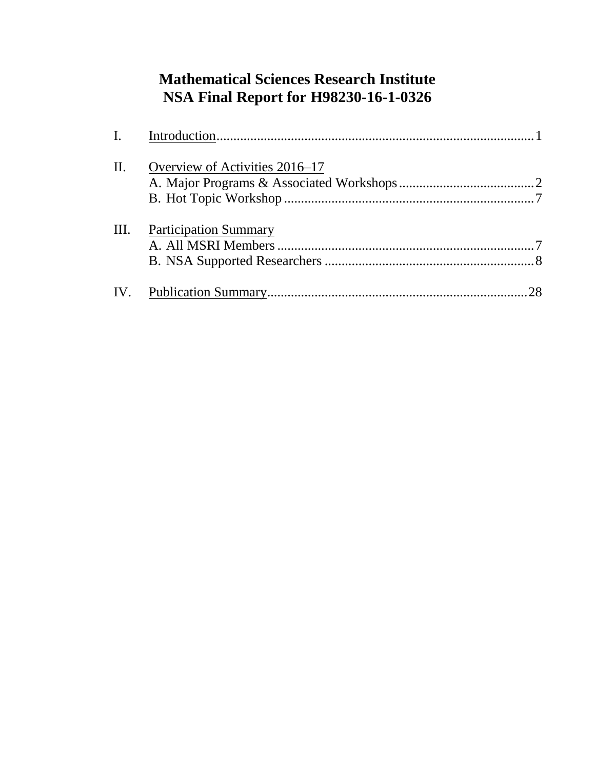# **Mathematical Sciences Research Institute NSA Final Report for H98230-16-1-0326**

| II.  | Overview of Activities 2016–17 |  |
|------|--------------------------------|--|
|      |                                |  |
| III. | <b>Participation Summary</b>   |  |
|      |                                |  |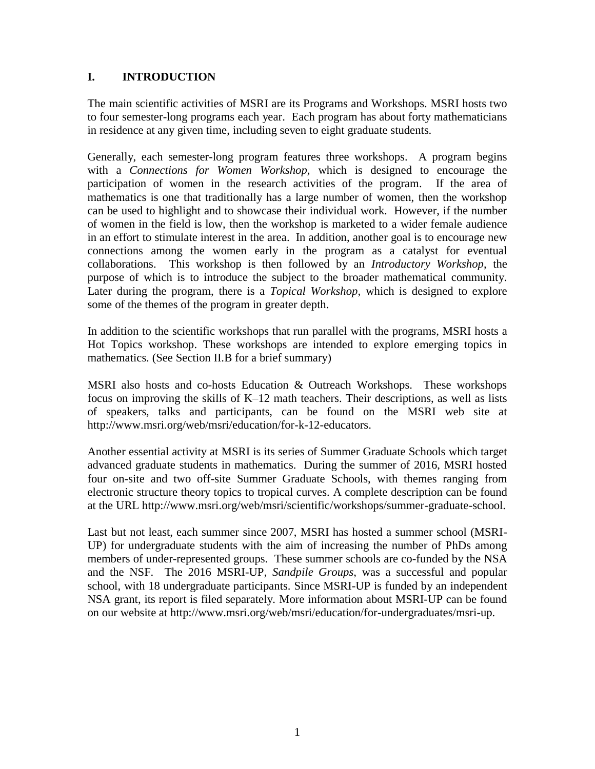## **I. INTRODUCTION**

The main scientific activities of MSRI are its Programs and Workshops. MSRI hosts two to four semester-long programs each year. Each program has about forty mathematicians in residence at any given time, including seven to eight graduate students.

Generally, each semester-long program features three workshops. A program begins with a *Connections for Women Workshop*, which is designed to encourage the participation of women in the research activities of the program. If the area of mathematics is one that traditionally has a large number of women, then the workshop can be used to highlight and to showcase their individual work. However, if the number of women in the field is low, then the workshop is marketed to a wider female audience in an effort to stimulate interest in the area. In addition, another goal is to encourage new connections among the women early in the program as a catalyst for eventual collaborations. This workshop is then followed by an *Introductory Workshop*, the purpose of which is to introduce the subject to the broader mathematical community. Later during the program, there is a *Topical Workshop*, which is designed to explore some of the themes of the program in greater depth.

In addition to the scientific workshops that run parallel with the programs, MSRI hosts a Hot Topics workshop. These workshops are intended to explore emerging topics in mathematics. (See Section II.B for a brief summary)

MSRI also hosts and co-hosts Education & Outreach Workshops. These workshops focus on improving the skills of K–12 math teachers. Their descriptions, as well as lists of speakers, talks and participants, can be found on the MSRI web site at http://www.msri.org/web/msri/education/for-k-12-educators.

Another essential activity at MSRI is its series of Summer Graduate Schools which target advanced graduate students in mathematics. During the summer of 2016, MSRI hosted four on-site and two off-site Summer Graduate Schools, with themes ranging from electronic structure theory topics to tropical curves. A complete description can be found at the URL http://www.msri.org/web/msri/scientific/workshops/summer-graduate-school.

Last but not least, each summer since 2007, MSRI has hosted a summer school (MSRI-UP) for undergraduate students with the aim of increasing the number of PhDs among members of under-represented groups. These summer schools are co-funded by the NSA and the NSF. The 2016 MSRI-UP, *Sandpile Groups*, was a successful and popular school, with 18 undergraduate participants. Since MSRI-UP is funded by an independent NSA grant, its report is filed separately. More information about MSRI-UP can be found on our website at http://www.msri.org/web/msri/education/for-undergraduates/msri-up.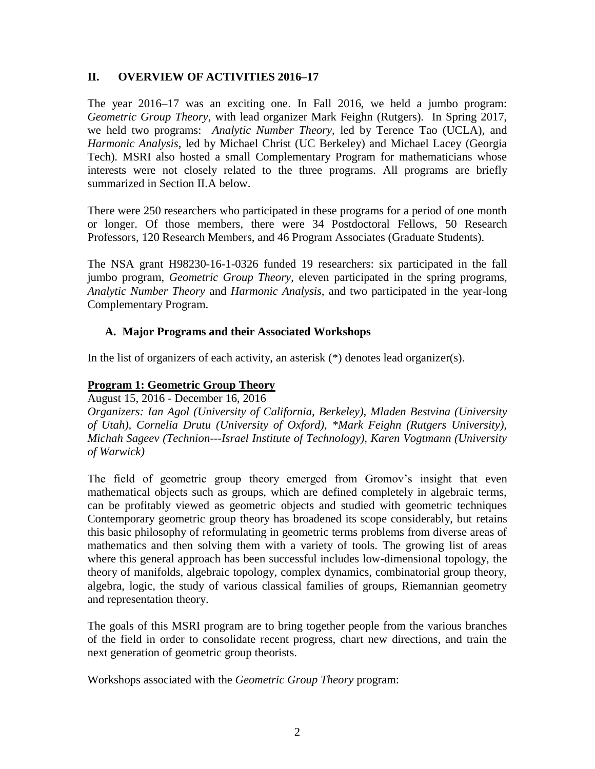## **II. OVERVIEW OF ACTIVITIES 2016–17**

The year 2016–17 was an exciting one. In Fall 2016, we held a jumbo program: *Geometric Group Theory*, with lead organizer Mark Feighn (Rutgers). In Spring 2017, we held two programs: *Analytic Number Theory*, led by Terence Tao (UCLA), and *Harmonic Analysis*, led by Michael Christ (UC Berkeley) and Michael Lacey (Georgia Tech). MSRI also hosted a small Complementary Program for mathematicians whose interests were not closely related to the three programs. All programs are briefly summarized in Section II.A below.

There were 250 researchers who participated in these programs for a period of one month or longer. Of those members, there were 34 Postdoctoral Fellows, 50 Research Professors, 120 Research Members, and 46 Program Associates (Graduate Students).

The NSA grant H98230-16-1-0326 funded 19 researchers: six participated in the fall jumbo program, *Geometric Group Theory*, eleven participated in the spring programs, *Analytic Number Theory* and *Harmonic Analysis*, and two participated in the year-long Complementary Program.

## **A. Major Programs and their Associated Workshops**

In the list of organizers of each activity, an asterisk (\*) denotes lead organizer(s).

## **Program 1: Geometric Group Theory**

August 15, 2016 - December 16, 2016

*Organizers: Ian Agol (University of California, Berkeley), Mladen Bestvina (University of Utah), Cornelia Drutu (University of Oxford), \*Mark Feighn (Rutgers University), Michah Sageev (Technion---Israel Institute of Technology), Karen Vogtmann (University of Warwick)*

The field of geometric group theory emerged from Gromov's insight that even mathematical objects such as groups, which are defined completely in algebraic terms, can be profitably viewed as geometric objects and studied with geometric techniques Contemporary geometric group theory has broadened its scope considerably, but retains this basic philosophy of reformulating in geometric terms problems from diverse areas of mathematics and then solving them with a variety of tools. The growing list of areas where this general approach has been successful includes low-dimensional topology, the theory of manifolds, algebraic topology, complex dynamics, combinatorial group theory, algebra, logic, the study of various classical families of groups, Riemannian geometry and representation theory.

The goals of this MSRI program are to bring together people from the various branches of the field in order to consolidate recent progress, chart new directions, and train the next generation of geometric group theorists.

Workshops associated with the *[Geometric](http://www.msri.org/programs/287) Group Theory* program: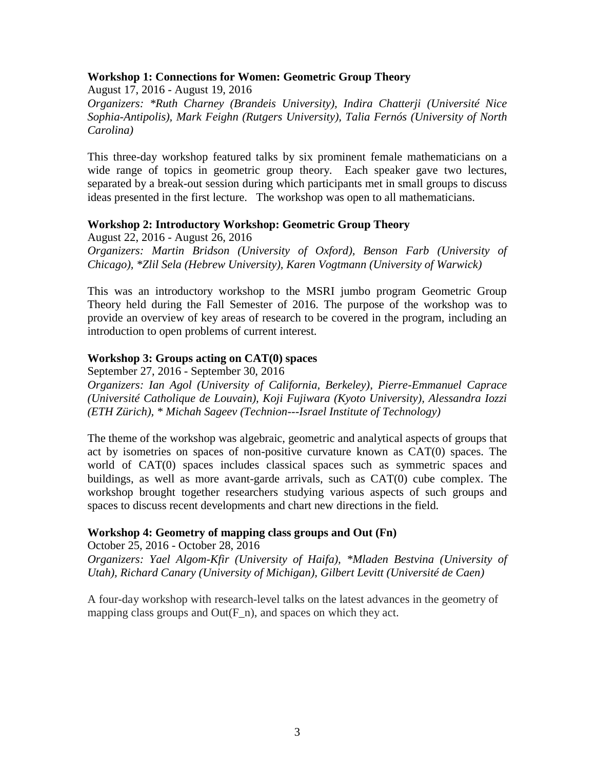## **Workshop 1: Connections for Women: Geometric Group Theory**

August 17, 2016 - August 19, 2016 *Organizers: \*Ruth Charney (Brandeis University), Indira Chatterji (Université Nice Sophia-Antipolis), Mark Feighn (Rutgers University), Talia Fernós (University of North Carolina)*

This three-day workshop featured talks by six prominent female mathematicians on a wide range of topics in geometric group theory. Each speaker gave two lectures, separated by a break-out session during which participants met in small groups to discuss ideas presented in the first lecture. The workshop was open to all mathematicians.

## **Workshop 2: Introductory Workshop: Geometric Group Theory**

August 22, 2016 - August 26, 2016 *Organizers: Martin Bridson (University of Oxford), Benson Farb (University of Chicago), \*Zlil Sela (Hebrew University), Karen Vogtmann (University of Warwick)*

This was an introductory workshop to the MSRI jumbo program Geometric Group Theory held during the Fall Semester of 2016. The purpose of the workshop was to provide an overview of key areas of research to be covered in the program, including an introduction to open problems of current interest.

### **Workshop 3: Groups acting on CAT(0) spaces**

September 27, 2016 - September 30, 2016

*Organizers: Ian Agol (University of California, Berkeley), Pierre-Emmanuel Caprace (Université Catholique de Louvain), Koji Fujiwara (Kyoto University), Alessandra Iozzi (ETH Zürich), \* Michah Sageev (Technion---Israel Institute of Technology)*

The theme of the workshop was algebraic, geometric and analytical aspects of groups that act by isometries on spaces of non-positive curvature known as CAT(0) spaces. The world of CAT(0) spaces includes classical spaces such as symmetric spaces and buildings, as well as more avant-garde arrivals, such as CAT(0) cube complex. The workshop brought together researchers studying various aspects of such groups and spaces to discuss recent developments and chart new directions in the field.

## **Workshop 4: Geometry of mapping class groups and Out (Fn)**

October 25, 2016 - October 28, 2016 *Organizers: Yael Algom-Kfir (University of Haifa), \*Mladen Bestvina (University of Utah), Richard Canary (University of Michigan), Gilbert Levitt (Université de Caen)*

A four-day workshop with research-level talks on the latest advances in the geometry of mapping class groups and  $Out(F_n)$ , and spaces on which they act.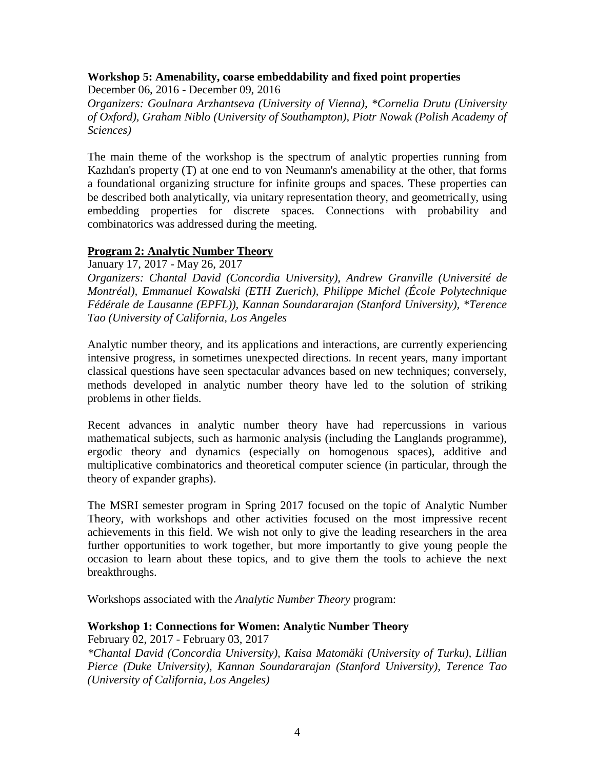## **Workshop 5: Amenability, coarse embeddability and fixed point properties**

December 06, 2016 - December 09, 2016 *Organizers: Goulnara Arzhantseva (University of Vienna), \*Cornelia Drutu (University of Oxford), Graham Niblo (University of Southampton), Piotr Nowak (Polish Academy of Sciences)*

The main theme of the workshop is the spectrum of analytic properties running from Kazhdan's property (T) at one end to von Neumann's amenability at the other, that forms a foundational organizing structure for infinite groups and spaces. These properties can be described both analytically, via unitary representation theory, and geometrically, using embedding properties for discrete spaces. Connections with probability and combinatorics was addressed during the meeting.

## **Program 2: Analytic Number Theory**

January 17, 2017 - May 26, 2017

*Organizers: Chantal David (Concordia University), Andrew Granville (Université de Montréal), Emmanuel Kowalski (ETH Zuerich), Philippe Michel (École Polytechnique Fédérale de Lausanne (EPFL)), Kannan Soundararajan (Stanford University), \*Terence Tao (University of California, Los Angeles*

Analytic number theory, and its applications and interactions, are currently experiencing intensive progress, in sometimes unexpected directions. In recent years, many important classical questions have seen spectacular advances based on new techniques; conversely, methods developed in analytic number theory have led to the solution of striking problems in other fields.

Recent advances in analytic number theory have had repercussions in various mathematical subjects, such as harmonic analysis (including the Langlands programme), ergodic theory and dynamics (especially on homogenous spaces), additive and multiplicative combinatorics and theoretical computer science (in particular, through the theory of expander graphs).

The MSRI semester program in Spring 2017 focused on the topic of Analytic Number Theory, with workshops and other activities focused on the most impressive recent achievements in this field. We wish not only to give the leading researchers in the area further opportunities to work together, but more importantly to give young people the occasion to learn about these topics, and to give them the tools to achieve the next breakthroughs.

Workshops associated with the *Analytic Number Theory* program:

## **Workshop 1: Connections for Women: Analytic Number Theory**

February 02, 2017 - February 03, 2017 *\*Chantal David (Concordia University), Kaisa Matomäki (University of Turku), Lillian Pierce (Duke University), Kannan Soundararajan (Stanford University), Terence Tao (University of California, Los Angeles)*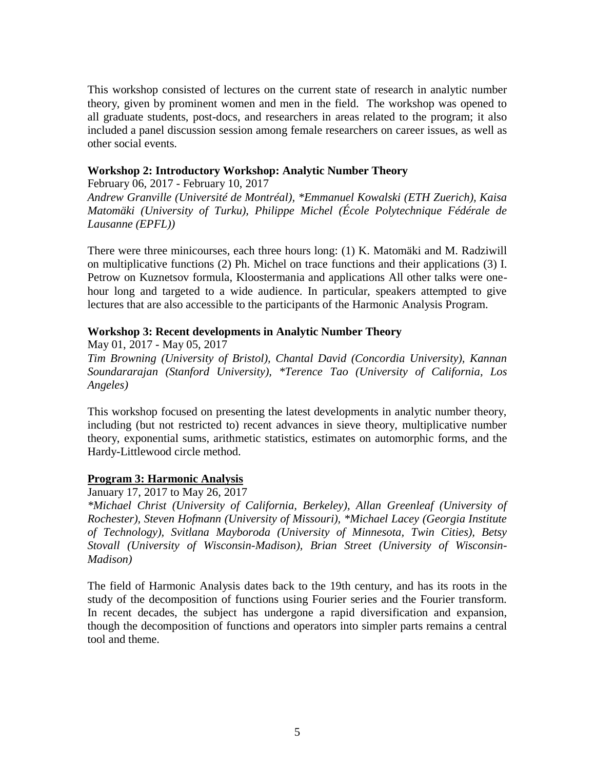This workshop consisted of lectures on the current state of research in analytic number theory, given by prominent women and men in the field. The workshop was opened to all graduate students, post-docs, and researchers in areas related to the program; it also included a panel discussion session among female researchers on career issues, as well as other social events.

### **Workshop 2: Introductory Workshop: Analytic Number Theory**

February 06, 2017 - February 10, 2017 *Andrew Granville (Université de Montréal), \*Emmanuel Kowalski (ETH Zuerich), Kaisa Matomäki (University of Turku), Philippe Michel (École Polytechnique Fédérale de Lausanne (EPFL))*

There were three minicourses, each three hours long: (1) K. Matomäki and M. Radziwill on multiplicative functions (2) Ph. Michel on trace functions and their applications (3) I. Petrow on Kuznetsov formula, Kloostermania and applications All other talks were onehour long and targeted to a wide audience. In particular, speakers attempted to give lectures that are also accessible to the participants of the Harmonic Analysis Program.

## **Workshop 3: Recent developments in Analytic Number Theory**

May 01, 2017 - May 05, 2017 *Tim Browning (University of Bristol), Chantal David (Concordia University), Kannan Soundararajan (Stanford University), \*Terence Tao (University of California, Los Angeles)*

This workshop focused on presenting the latest developments in analytic number theory, including (but not restricted to) recent advances in sieve theory, multiplicative number theory, exponential sums, arithmetic statistics, estimates on automorphic forms, and the Hardy-Littlewood circle method.

## **Program 3: Harmonic Analysis**

January 17, 2017 to May 26, 2017

*\*Michael Christ (University of California, Berkeley), Allan Greenleaf (University of Rochester), Steven Hofmann (University of Missouri), \*Michael Lacey (Georgia Institute of Technology), Svitlana Mayboroda (University of Minnesota, Twin Cities), Betsy Stovall (University of Wisconsin-Madison), Brian Street (University of Wisconsin-Madison)*

The field of Harmonic Analysis dates back to the 19th century, and has its roots in the study of the decomposition of functions using Fourier series and the Fourier transform. In recent decades, the subject has undergone a rapid diversification and expansion, though the decomposition of functions and operators into simpler parts remains a central tool and theme.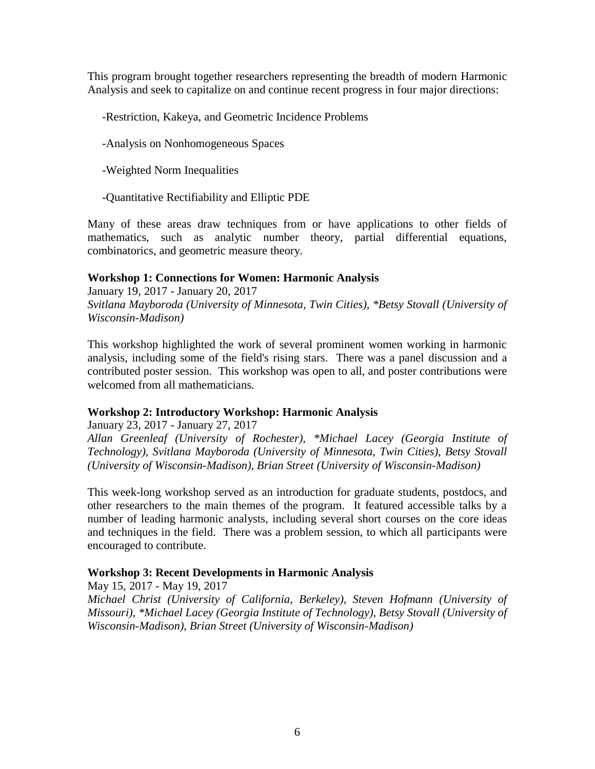This program brought together researchers representing the breadth of modern Harmonic Analysis and seek to capitalize on and continue recent progress in four major directions:

-Restriction, Kakeya, and Geometric Incidence Problems

- -Analysis on Nonhomogeneous Spaces
- -Weighted Norm Inequalities
- -Quantitative Rectifiability and Elliptic PDE

Many of these areas draw techniques from or have applications to other fields of mathematics, such as analytic number theory, partial differential equations, combinatorics, and geometric measure theory.

## **Workshop 1: Connections for Women: Harmonic Analysis**

January 19, 2017 - January 20, 2017 *Svitlana Mayboroda (University of Minnesota, Twin Cities), \*Betsy Stovall (University of Wisconsin-Madison)*

This workshop highlighted the work of several prominent women working in harmonic analysis, including some of the field's rising stars. There was a panel discussion and a contributed poster session. This workshop was open to all, and poster contributions were welcomed from all mathematicians.

## **Workshop 2: Introductory Workshop: Harmonic Analysis**

January 23, 2017 - January 27, 2017 *Allan Greenleaf (University of Rochester), \*Michael Lacey (Georgia Institute of Technology), Svitlana Mayboroda (University of Minnesota, Twin Cities), Betsy Stovall (University of Wisconsin-Madison), Brian Street (University of Wisconsin-Madison)*

This week-long workshop served as an introduction for graduate students, postdocs, and other researchers to the main themes of the program. It featured accessible talks by a number of leading harmonic analysts, including several short courses on the core ideas and techniques in the field. There was a problem session, to which all participants were encouraged to contribute.

## **Workshop 3: Recent Developments in Harmonic Analysis**

May 15, 2017 - May 19, 2017 *Michael Christ (University of California, Berkeley), Steven Hofmann (University of Missouri), \*Michael Lacey (Georgia Institute of Technology), Betsy Stovall (University of Wisconsin-Madison), Brian Street (University of Wisconsin-Madison)*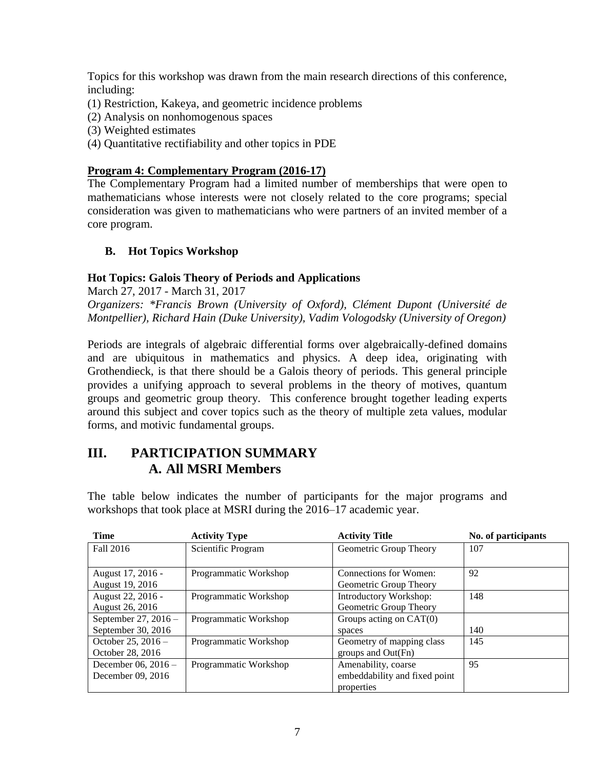Topics for this workshop was drawn from the main research directions of this conference, including:

- (1) Restriction, Kakeya, and geometric incidence problems
- (2) Analysis on nonhomogenous spaces
- (3) Weighted estimates
- (4) Quantitative rectifiability and other topics in PDE

## **Program 4: Complementary Program (2016-17)**

The Complementary Program had a limited number of memberships that were open to mathematicians whose interests were not closely related to the core programs; special consideration was given to mathematicians who were partners of an invited member of a core program.

## **B. Hot Topics Workshop**

## **Hot Topics: Galois Theory of Periods and Applications**

March 27, 2017 - March 31, 2017

*Organizers: \*Francis Brown (University of Oxford), Clément Dupont (Université de Montpellier), Richard Hain (Duke University), Vadim Vologodsky (University of Oregon)*

Periods are integrals of algebraic differential forms over algebraically-defined domains and are ubiquitous in mathematics and physics. A deep idea, originating with Grothendieck, is that there should be a Galois theory of periods. This general principle provides a unifying approach to several problems in the theory of motives, quantum groups and geometric group theory. This conference brought together leading experts around this subject and cover topics such as the theory of multiple zeta values, modular forms, and motivic fundamental groups.

## **III. PARTICIPATION SUMMARY A. All MSRI Members**

The table below indicates the number of participants for the major programs and workshops that took place at MSRI during the 2016–17 academic year.

| <b>Time</b>            | <b>Activity Type</b>  | <b>Activity Title</b>         | No. of participants |
|------------------------|-----------------------|-------------------------------|---------------------|
| Fall 2016              | Scientific Program    | Geometric Group Theory        | 107                 |
|                        |                       |                               |                     |
| August 17, 2016 -      | Programmatic Workshop | Connections for Women:        | 92                  |
| August 19, 2016        |                       | Geometric Group Theory        |                     |
| August 22, 2016 -      | Programmatic Workshop | Introductory Workshop:        | 148                 |
| August 26, 2016        |                       | Geometric Group Theory        |                     |
| September 27, $2016 -$ | Programmatic Workshop | Groups acting on $CAT(0)$     |                     |
| September 30, 2016     |                       | spaces                        | 140                 |
| October 25, $2016 -$   | Programmatic Workshop | Geometry of mapping class     | 145                 |
| October 28, 2016       |                       | groups and Out(Fn)            |                     |
| December 06, 2016 -    | Programmatic Workshop | Amenability, coarse           | 95                  |
| December 09, 2016      |                       | embeddability and fixed point |                     |
|                        |                       | properties                    |                     |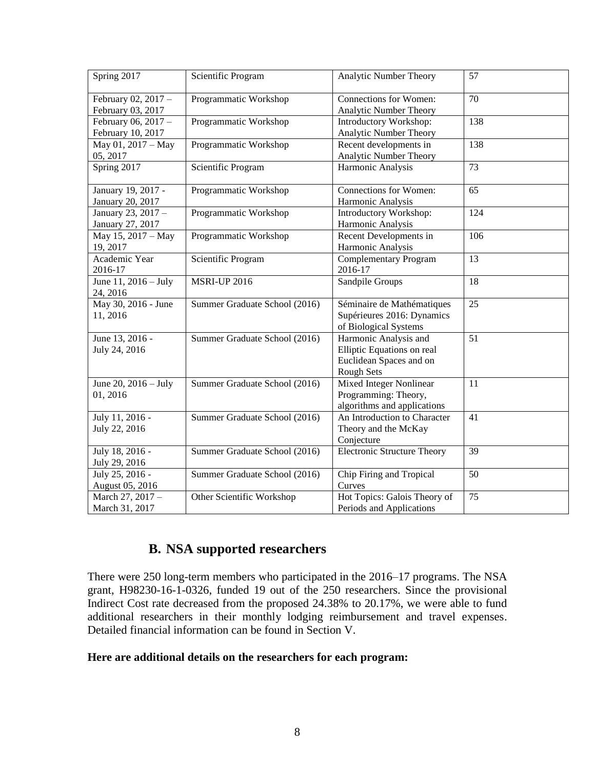| Spring 2017                              | Scientific Program            | Analytic Number Theory                                                                              | 57  |
|------------------------------------------|-------------------------------|-----------------------------------------------------------------------------------------------------|-----|
| February 02, 2017 -<br>February 03, 2017 | Programmatic Workshop         | <b>Connections for Women:</b><br>Analytic Number Theory                                             | 70  |
| February 06, 2017 -<br>February 10, 2017 | Programmatic Workshop         | Introductory Workshop:<br>Analytic Number Theory                                                    | 138 |
| May 01, 2017 - May<br>05, 2017           | Programmatic Workshop         | Recent developments in<br>Analytic Number Theory                                                    | 138 |
| Spring 2017                              | Scientific Program            | Harmonic Analysis                                                                                   | 73  |
| January 19, 2017 -<br>January 20, 2017   | Programmatic Workshop         | Connections for Women:<br>Harmonic Analysis                                                         | 65  |
| January 23, 2017 -<br>January 27, 2017   | Programmatic Workshop         | Introductory Workshop:<br>Harmonic Analysis                                                         | 124 |
| May 15, 2017 - May<br>19, 2017           | Programmatic Workshop         | Recent Developments in<br>Harmonic Analysis                                                         | 106 |
| Academic Year<br>2016-17                 | Scientific Program            | <b>Complementary Program</b><br>2016-17                                                             | 13  |
| June 11, 2016 - July<br>24, 2016         | <b>MSRI-UP 2016</b>           | Sandpile Groups                                                                                     | 18  |
| May 30, 2016 - June<br>11, 2016          | Summer Graduate School (2016) | Séminaire de Mathématiques<br>Supérieures 2016: Dynamics<br>of Biological Systems                   | 25  |
| June 13, 2016 -<br>July 24, 2016         | Summer Graduate School (2016) | Harmonic Analysis and<br>Elliptic Equations on real<br>Euclidean Spaces and on<br><b>Rough Sets</b> | 51  |
| June 20, 2016 - July<br>01, 2016         | Summer Graduate School (2016) | <b>Mixed Integer Nonlinear</b><br>Programming: Theory,<br>algorithms and applications               | 11  |
| July 11, 2016 -<br>July 22, 2016         | Summer Graduate School (2016) | An Introduction to Character<br>Theory and the McKay<br>Conjecture                                  | 41  |
| July 18, 2016 -<br>July 29, 2016         | Summer Graduate School (2016) | <b>Electronic Structure Theory</b>                                                                  | 39  |
| July 25, 2016 -<br>August 05, 2016       | Summer Graduate School (2016) | Chip Firing and Tropical<br>Curves                                                                  | 50  |
| March 27, 2017 -<br>March 31, 2017       | Other Scientific Workshop     | Hot Topics: Galois Theory of<br>Periods and Applications                                            | 75  |

## **B. NSA supported researchers**

There were 250 long-term members who participated in the 2016–17 programs. The NSA grant, H98230-16-1-0326, funded 19 out of the 250 researchers. Since the provisional Indirect Cost rate decreased from the proposed 24.38% to 20.17%, we were able to fund additional researchers in their monthly lodging reimbursement and travel expenses. Detailed financial information can be found in Section V.

## **Here are additional details on the researchers for each program:**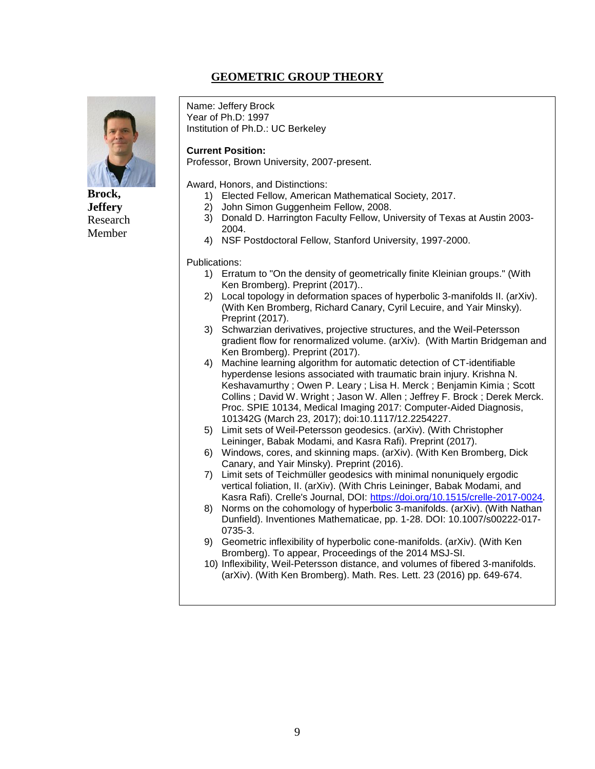## **GEOMETRIC GROUP THEORY**



**Brock, Jeffery** Research Member

Name: Jeffery Brock Year of Ph.D: 1997 Institution of Ph.D.: UC Berkeley

#### **Current Position:**

Professor, Brown University, 2007-present.

Award, Honors, and Distinctions:

- 1) Elected Fellow, American Mathematical Society, 2017.
- 2) John Simon Guggenheim Fellow, 2008.
- 3) Donald D. Harrington Faculty Fellow, University of Texas at Austin 2003- 2004.
- 4) NSF Postdoctoral Fellow, Stanford University, 1997-2000.

- 1) Erratum to "On the density of geometrically finite Kleinian groups." (With Ken Bromberg). Preprint (2017)..
- 2) Local topology in deformation spaces of hyperbolic 3-manifolds II. (arXiv). (With Ken Bromberg, Richard Canary, Cyril Lecuire, and Yair Minsky). Preprint (2017).
- 3) Schwarzian derivatives, projective structures, and the Weil-Petersson gradient flow for renormalized volume. (arXiv). (With Martin Bridgeman and Ken Bromberg). Preprint (2017).
- 4) Machine learning algorithm for automatic detection of CT-identifiable hyperdense lesions associated with traumatic brain injury. Krishna N. Keshavamurthy ; Owen P. Leary ; Lisa H. Merck ; Benjamin Kimia ; Scott Collins ; David W. Wright ; Jason W. Allen ; Jeffrey F. Brock ; Derek Merck. Proc. SPIE 10134, Medical Imaging 2017: Computer-Aided Diagnosis, 101342G (March 23, 2017); doi:10.1117/12.2254227.
- 5) Limit sets of Weil-Petersson geodesics. (arXiv). (With Christopher Leininger, Babak Modami, and Kasra Rafi). Preprint (2017).
- 6) Windows, cores, and skinning maps. (arXiv). (With Ken Bromberg, Dick Canary, and Yair Minsky). Preprint (2016).
- 7) Limit sets of Teichmüller geodesics with minimal nonuniquely ergodic vertical foliation, II. (arXiv). (With Chris Leininger, Babak Modami, and Kasra Rafi). Crelle's Journal, DOI: [https://doi.org/10.1515/crelle-2017-0024.](https://doi.org/10.1515/crelle-2017-0024)
- 8) Norms on the cohomology of hyperbolic 3-manifolds. (arXiv). (With Nathan Dunfield). Inventiones Mathematicae, pp. 1-28. DOI: 10.1007/s00222-017- 0735-3.
- 9) Geometric inflexibility of hyperbolic cone-manifolds. (arXiv). (With Ken Bromberg). To appear, Proceedings of the 2014 MSJ-SI.
- 10) Inflexibility, Weil-Petersson distance, and volumes of fibered 3-manifolds. (arXiv). (With Ken Bromberg). Math. Res. Lett. 23 (2016) pp. 649-674.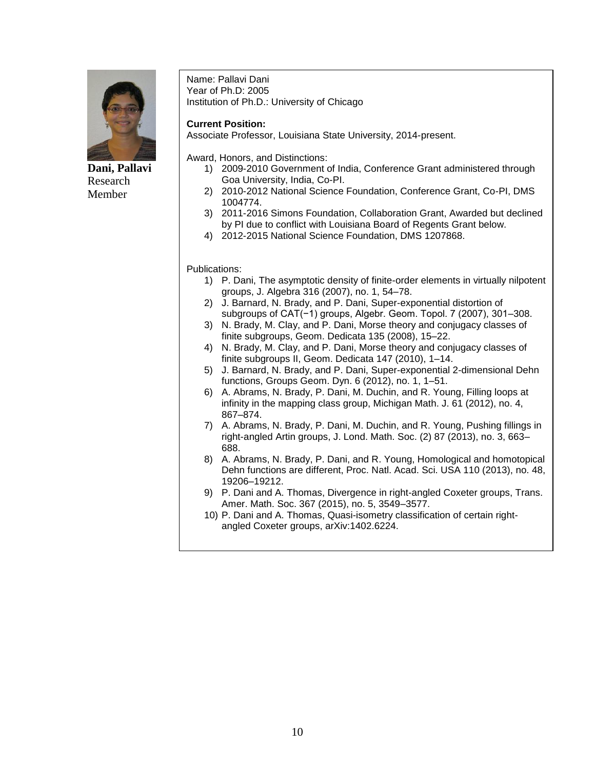

**Dani, Pallavi** Research Member

Name: Pallavi Dani Year of Ph.D: 2005 Institution of Ph.D.: University of Chicago

#### **Current Position:**

Associate Professor, Louisiana State University, 2014-present.

Award, Honors, and Distinctions:

- 1) 2009-2010 Government of India, Conference Grant administered through Goa University, India, Co-PI.
- 2) 2010-2012 National Science Foundation, Conference Grant, Co-PI, DMS 1004774.
- 3) 2011-2016 Simons Foundation, Collaboration Grant, Awarded but declined by PI due to conflict with Louisiana Board of Regents Grant below.
- 4) 2012-2015 National Science Foundation, DMS 1207868.

- 1) P. Dani, The asymptotic density of finite-order elements in virtually nilpotent groups, J. Algebra 316 (2007), no. 1, 54–78.
- 2) J. Barnard, N. Brady, and P. Dani, Super-exponential distortion of subgroups of CAT(−1) groups, Algebr. Geom. Topol. 7 (2007), 301–308.
- 3) N. Brady, M. Clay, and P. Dani, Morse theory and conjugacy classes of finite subgroups, Geom. Dedicata 135 (2008), 15–22.
- 4) N. Brady, M. Clay, and P. Dani, Morse theory and conjugacy classes of finite subgroups II, Geom. Dedicata 147 (2010), 1–14.
- 5) J. Barnard, N. Brady, and P. Dani, Super-exponential 2-dimensional Dehn functions, Groups Geom. Dyn. 6 (2012), no. 1, 1–51.
- 6) A. Abrams, N. Brady, P. Dani, M. Duchin, and R. Young, Filling loops at infinity in the mapping class group, Michigan Math. J. 61 (2012), no. 4, 867–874.
- 7) A. Abrams, N. Brady, P. Dani, M. Duchin, and R. Young, Pushing fillings in right-angled Artin groups, J. Lond. Math. Soc. (2) 87 (2013), no. 3, 663– 688.
- 8) A. Abrams, N. Brady, P. Dani, and R. Young, Homological and homotopical Dehn functions are different, Proc. Natl. Acad. Sci. USA 110 (2013), no. 48, 19206–19212.
- 9) P. Dani and A. Thomas, Divergence in right-angled Coxeter groups, Trans. Amer. Math. Soc. 367 (2015), no. 5, 3549–3577.
- 10) P. Dani and A. Thomas, Quasi-isometry classification of certain rightangled Coxeter groups, arXiv:1402.6224.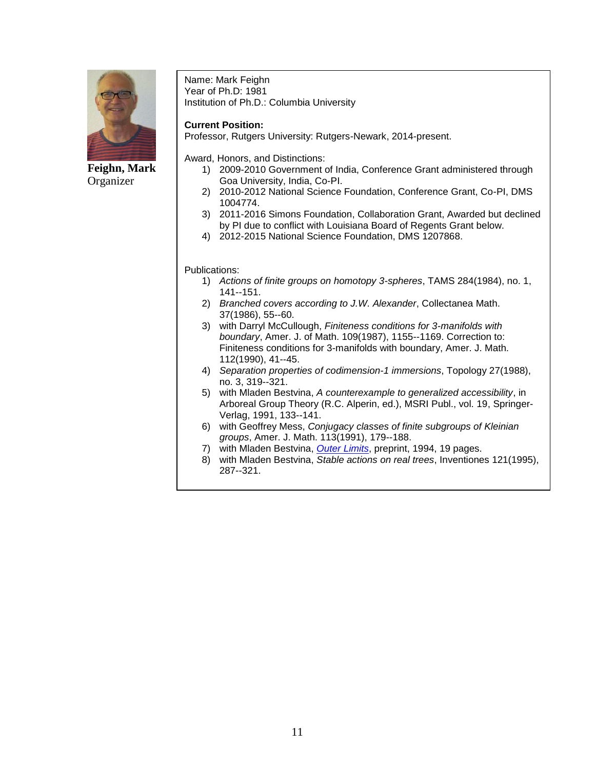

**Feighn, Mark** Organizer

Name: Mark Feighn Year of Ph.D: 1981 Institution of Ph.D.: Columbia University

### **Current Position:**

Professor, Rutgers University: Rutgers-Newark, 2014-present.

Award, Honors, and Distinctions:

- 1) 2009-2010 Government of India, Conference Grant administered through Goa University, India, Co-PI.
- 2) 2010-2012 National Science Foundation, Conference Grant, Co-PI, DMS 1004774.
- 3) 2011-2016 Simons Foundation, Collaboration Grant, Awarded but declined by PI due to conflict with Louisiana Board of Regents Grant below.
- 4) 2012-2015 National Science Foundation, DMS 1207868.

- 1) *Actions of finite groups on homotopy 3-spheres*, TAMS 284(1984), no. 1, 141--151.
- 2) *Branched covers according to J.W. Alexander*, Collectanea Math. 37(1986), 55--60.
- 3) with Darryl McCullough, *Finiteness conditions for 3-manifolds with boundary*, Amer. J. of Math. 109(1987), 1155--1169. Correction to: Finiteness conditions for 3-manifolds with boundary, Amer. J. Math. 112(1990), 41--45.
- 4) *Separation properties of codimension-1 immersions*, Topology 27(1988), no. 3, 319--321.
- 5) with Mladen Bestvina, *A counterexample to generalized accessibility*, in Arboreal Group Theory (R.C. Alperin, ed.), MSRI Publ., vol. 19, Springer-Verlag, 1991, 133--141.
- 6) with Geoffrey Mess, *Conjugacy classes of finite subgroups of Kleinian groups*, Amer. J. Math. 113(1991), 179--188.
- 7) with Mladen Bestvina, *[Outer Limits](http://andromeda.rutgers.edu/~feighn/papers/outer.pdf)*, preprint, 1994, 19 pages.
- 8) with Mladen Bestvina, *Stable actions on real trees*, Inventiones 121(1995), 287--321.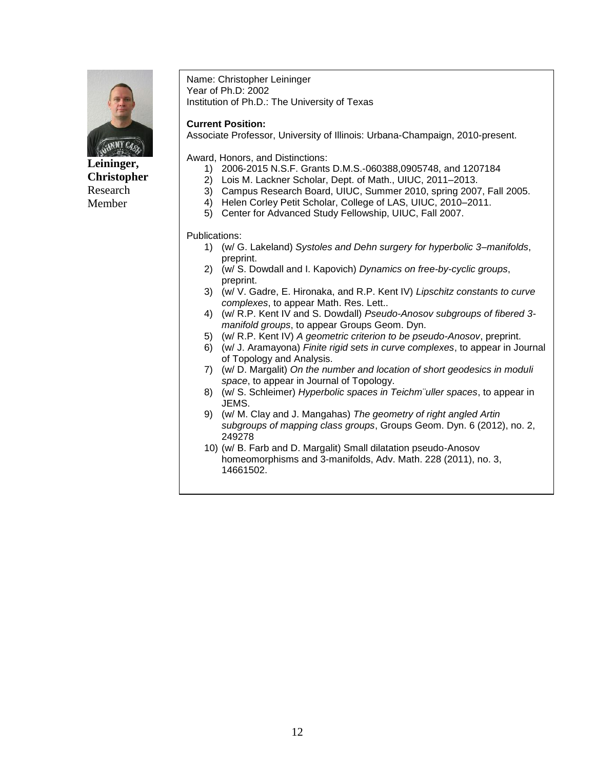

**Leininger, Christopher** Research Member

Name: Christopher Leininger Year of Ph.D: 2002 Institution of Ph.D.: The University of Texas

#### **Current Position:**

Associate Professor, University of Illinois: Urbana-Champaign, 2010-present.

Award, Honors, and Distinctions:

- 1) 2006-2015 N.S.F. Grants D.M.S.-060388,0905748, and 1207184
- 2) Lois M. Lackner Scholar, Dept. of Math., UIUC, 2011–2013.
- 3) Campus Research Board, UIUC, Summer 2010, spring 2007, Fall 2005.
- 4) Helen Corley Petit Scholar, College of LAS, UIUC, 2010–2011.
- 5) Center for Advanced Study Fellowship, UIUC, Fall 2007.

- 1) (w/ G. Lakeland) *Systoles and Dehn surgery for hyperbolic 3–manifolds*, preprint.
- 2) (w/ S. Dowdall and I. Kapovich) *Dynamics on free-by-cyclic groups*, preprint.
- 3) (w/ V. Gadre, E. Hironaka, and R.P. Kent IV) *Lipschitz constants to curve complexes*, to appear Math. Res. Lett..
- 4) (w/ R.P. Kent IV and S. Dowdall) *Pseudo-Anosov subgroups of fibered 3 manifold groups*, to appear Groups Geom. Dyn.
- 5) (w/ R.P. Kent IV) *A geometric criterion to be pseudo-Anosov*, preprint.
- 6) (w/ J. Aramayona) *Finite rigid sets in curve complexes*, to appear in Journal of Topology and Analysis.
- 7) (w/ D. Margalit) *On the number and location of short geodesics in moduli space*, to appear in Journal of Topology.
- 8) (w/ S. Schleimer) *Hyperbolic spaces in Teichm¨uller spaces*, to appear in JEMS.
- 9) (w/ M. Clay and J. Mangahas) *The geometry of right angled Artin subgroups of mapping class groups*, Groups Geom. Dyn. 6 (2012), no. 2, 249278
- 10) (w/ B. Farb and D. Margalit) Small dilatation pseudo-Anosov homeomorphisms and 3-manifolds, Adv. Math. 228 (2011), no. 3, 14661502.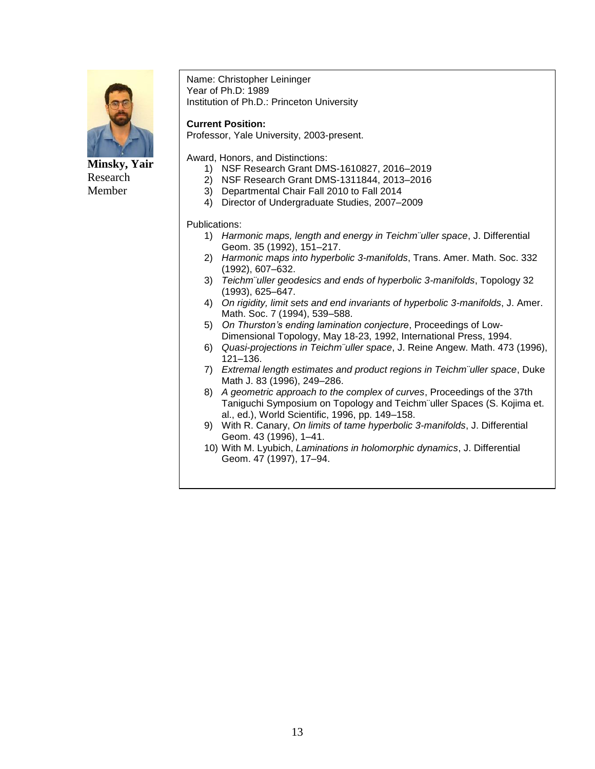

**Minsky, Yair** Research Member

Name: Christopher Leininger Year of Ph.D: 1989 Institution of Ph.D.: Princeton University

#### **Current Position:**

Professor, Yale University, 2003-present.

Award, Honors, and Distinctions:

- 1) NSF Research Grant DMS-1610827, 2016–2019
- 2) NSF Research Grant DMS-1311844, 2013–2016
- 3) Departmental Chair Fall 2010 to Fall 2014
- 4) Director of Undergraduate Studies, 2007–2009

- 1) *Harmonic maps, length and energy in Teichm¨uller space*, J. Differential Geom. 35 (1992), 151–217.
- 2) *Harmonic maps into hyperbolic 3-manifolds*, Trans. Amer. Math. Soc. 332 (1992), 607–632.
- 3) *Teichm¨uller geodesics and ends of hyperbolic 3-manifolds*, Topology 32 (1993), 625–647.
- 4) *On rigidity, limit sets and end invariants of hyperbolic 3-manifolds*, J. Amer. Math. Soc. 7 (1994), 539–588.
- 5) *On Thurston's ending lamination conjecture*, Proceedings of Low-Dimensional Topology, May 18-23, 1992, International Press, 1994.
- 6) *Quasi-projections in Teichm¨uller space*, J. Reine Angew. Math. 473 (1996), 121–136.
- 7) *Extremal length estimates and product regions in Teichm¨uller space*, Duke Math J. 83 (1996), 249–286.
- 8) *A geometric approach to the complex of curves*, Proceedings of the 37th Taniguchi Symposium on Topology and Teichm¨uller Spaces (S. Kojima et. al., ed.), World Scientific, 1996, pp. 149–158.
- 9) With R. Canary, *On limits of tame hyperbolic 3-manifolds*, J. Differential Geom. 43 (1996), 1–41.
- 10) With M. Lyubich, *Laminations in holomorphic dynamics*, J. Differential Geom. 47 (1997), 17–94.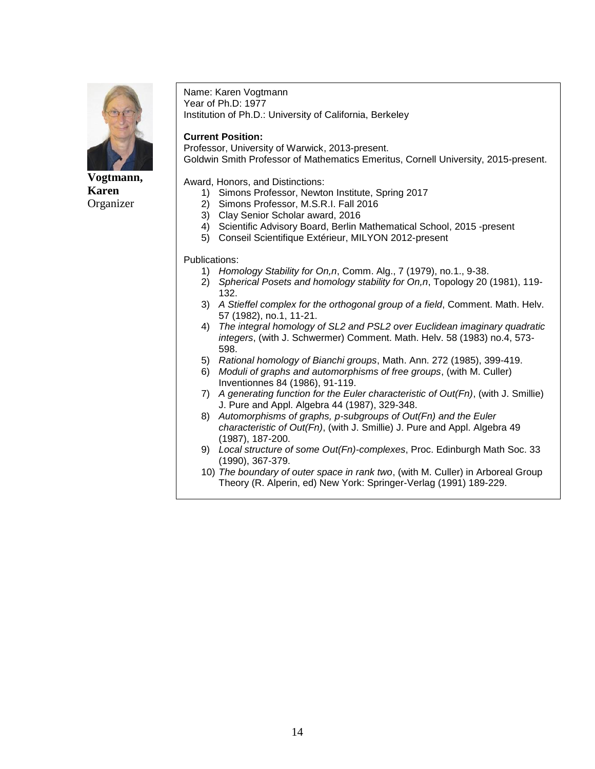

**Vogtmann, Karen** Organizer

Name: Karen Vogtmann Year of Ph.D: 1977 Institution of Ph.D.: University of California, Berkeley

#### **Current Position:**

Professor, University of Warwick, 2013-present. Goldwin Smith Professor of Mathematics Emeritus, Cornell University, 2015-present.

Award, Honors, and Distinctions:

- 1) Simons Professor, Newton Institute, Spring 2017
- 2) Simons Professor, M.S.R.I. Fall 2016
- 3) Clay Senior Scholar award, 2016
- 4) Scientific Advisory Board, Berlin Mathematical School, 2015 -present
- 5) Conseil Scientifique Extérieur, MILYON 2012-present

- 1) *Homology Stability for On,n*, Comm. Alg., 7 (1979), no.1., 9-38.
- 2) *Spherical Posets and homology stability for On,n*, Topology 20 (1981), 119- 132.
- 3) *A Stieffel complex for the orthogonal group of a field*, Comment. Math. Helv. 57 (1982), no.1, 11-21.
- 4) *The integral homology of SL2 and PSL2 over Euclidean imaginary quadratic integers*, (with J. Schwermer) Comment. Math. Helv. 58 (1983) no.4, 573- 598.
- 5) *Rational homology of Bianchi groups*, Math. Ann. 272 (1985), 399-419.
- 6) *Moduli of graphs and automorphisms of free groups*, (with M. Culler) Inventionnes 84 (1986), 91-119.
- 7) *A generating function for the Euler characteristic of Out(Fn)*, (with J. Smillie) J. Pure and Appl. Algebra 44 (1987), 329-348.
- 8) *Automorphisms of graphs, p-subgroups of Out(Fn) and the Euler characteristic of Out(Fn)*, (with J. Smillie) J. Pure and Appl. Algebra 49 (1987), 187-200.
- 9) *Local structure of some Out(Fn)-complexes*, Proc. Edinburgh Math Soc. 33 (1990), 367-379.
- 10) *The boundary of outer space in rank two*, (with M. Culler) in Arboreal Group Theory (R. Alperin, ed) New York: Springer-Verlag (1991) 189-229.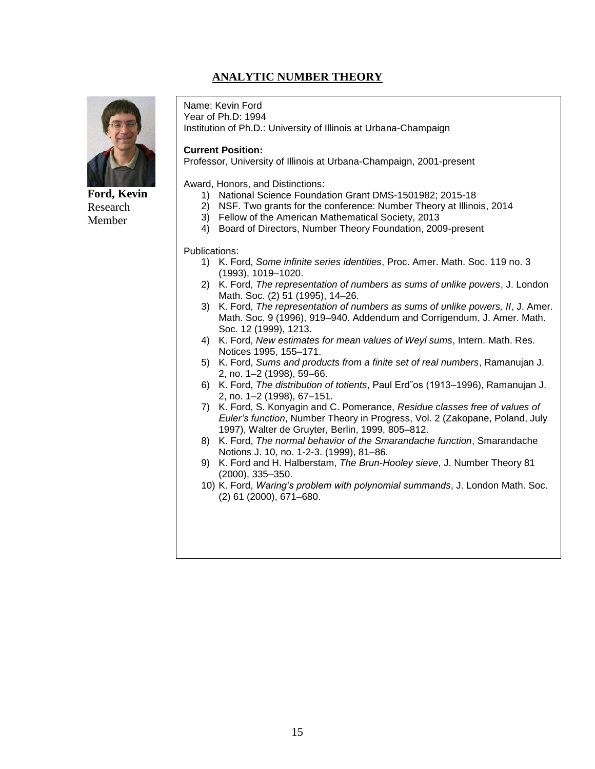## **ANALYTIC NUMBER THEORY**



## **Ford, Kevin** Research Member

Name: Kevin Ford Year of Ph.D: 1994 Institution of Ph.D.: University of Illinois at Urbana-Champaign

#### **Current Position:**

Professor, University of Illinois at Urbana-Champaign, 2001-present

Award, Honors, and Distinctions:

- 1) National Science Foundation Grant DMS-1501982; 2015-18
- 2) NSF. Two grants for the conference: Number Theory at Illinois, 2014
- 3) Fellow of the American Mathematical Society, 2013
- 4) Board of Directors, Number Theory Foundation, 2009-present

- 1) K. Ford, *Some infinite series identities*, Proc. Amer. Math. Soc. 119 no. 3 (1993), 1019–1020.
- 2) K. Ford, *The representation of numbers as sums of unlike powers*, J. London Math. Soc. (2) 51 (1995), 14–26.
- 3) K. Ford, *The representation of numbers as sums of unlike powers, II*, J. Amer. Math. Soc. 9 (1996), 919–940. Addendum and Corrigendum, J. Amer. Math. Soc. 12 (1999), 1213.
- 4) K. Ford, *New estimates for mean values of Weyl sums*, Intern. Math. Res. Notices 1995, 155–171.
- 5) K. Ford, *Sums and products from a finite set of real numbers*, Ramanujan J. 2, no. 1–2 (1998), 59–66.
- 6) K. Ford, *The distribution of totients*, Paul Erd˝os (1913–1996), Ramanujan J. 2, no. 1–2 (1998), 67–151.
- 7) K. Ford, S. Konyagin and C. Pomerance, *Residue classes free of values of Euler's function*, Number Theory in Progress, Vol. 2 (Zakopane, Poland, July 1997), Walter de Gruyter, Berlin, 1999, 805–812.
- 8) K. Ford, *The normal behavior of the Smarandache function*, Smarandache Notions J. 10, no. 1-2-3. (1999), 81–86.
- 9) K. Ford and H. Halberstam, *The Brun-Hooley sieve*, J. Number Theory 81 (2000), 335–350.
- 10) K. Ford, *Waring's problem with polynomial summands*, J. London Math. Soc. (2) 61 (2000), 671–680.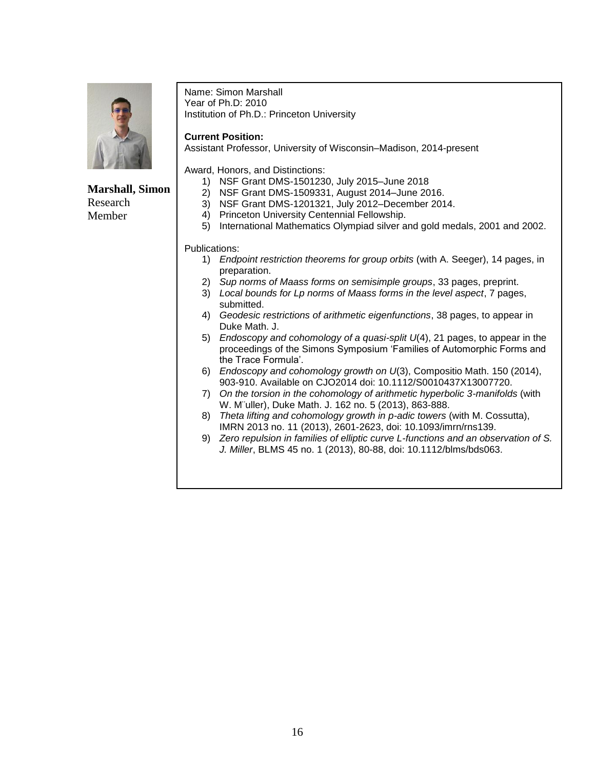

**Marshall, Simon** Research Member

Name: Simon Marshall Year of Ph.D: 2010 Institution of Ph.D.: Princeton University

#### **Current Position:**

Assistant Professor, University of Wisconsin–Madison, 2014-present

Award, Honors, and Distinctions:

- 1) NSF Grant DMS-1501230, July 2015–June 2018
- 2) NSF Grant DMS-1509331, August 2014–June 2016.
- 3) NSF Grant DMS-1201321, July 2012–December 2014.
- 4) Princeton University Centennial Fellowship.
- 5) International Mathematics Olympiad silver and gold medals, 2001 and 2002.

- 1) *Endpoint restriction theorems for group orbits* (with A. Seeger), 14 pages, in preparation.
- 2) *Sup norms of Maass forms on semisimple groups*, 33 pages, preprint.
- 3) *Local bounds for Lp norms of Maass forms in the level aspect*, 7 pages, submitted.
- 4) *Geodesic restrictions of arithmetic eigenfunctions*, 38 pages, to appear in Duke Math. J.
- 5) *Endoscopy and cohomology of a quasi-split U*(4), 21 pages, to appear in the proceedings of the Simons Symposium 'Families of Automorphic Forms and the Trace Formula'.
- 6) *Endoscopy and cohomology growth on U*(3), Compositio Math. 150 (2014), 903-910. Available on CJO2014 doi: 10.1112/S0010437X13007720.
- 7) *On the torsion in the cohomology of arithmetic hyperbolic 3-manifolds* (with W. M¨uller), Duke Math. J. 162 no. 5 (2013), 863-888.
- 8) *Theta lifting and cohomology growth in p-adic towers* (with M. Cossutta), IMRN 2013 no. 11 (2013), 2601-2623, doi: 10.1093/imrn/rns139.
- 9) *Zero repulsion in families of elliptic curve L-functions and an observation of S. J. Miller*, BLMS 45 no. 1 (2013), 80-88, doi: 10.1112/blms/bds063.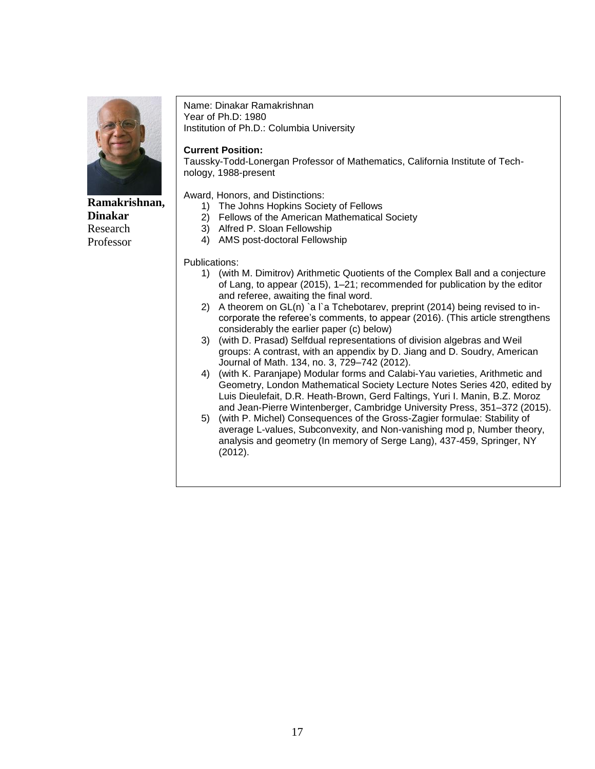

**Ramakrishnan, Dinakar** Research Professor

#### Name: Dinakar Ramakrishnan Year of Ph.D: 1980 Institution of Ph.D.: Columbia University

**Current Position:**

Taussky-Todd-Lonergan Professor of Mathematics, California Institute of Technology, 1988-present

Award, Honors, and Distinctions:

- 1) The Johns Hopkins Society of Fellows
- 2) Fellows of the American Mathematical Society
- 3) Alfred P. Sloan Fellowship
- 4) AMS post-doctoral Fellowship

- 1) (with M. Dimitrov) Arithmetic Quotients of the Complex Ball and a conjecture of Lang, to appear (2015), 1–21; recommended for publication by the editor and referee, awaiting the final word.
- 2) A theorem on  $GL(n)$  a l'a Tchebotarev, preprint (2014) being revised to incorporate the referee's comments, to appear (2016). (This article strengthens considerably the earlier paper (c) below)
- 3) (with D. Prasad) Selfdual representations of division algebras and Weil groups: A contrast, with an appendix by D. Jiang and D. Soudry, American Journal of Math. 134, no. 3, 729–742 (2012).
- 4) (with K. Paranjape) Modular forms and Calabi-Yau varieties, Arithmetic and Geometry, London Mathematical Society Lecture Notes Series 420, edited by Luis Dieulefait, D.R. Heath-Brown, Gerd Faltings, Yuri I. Manin, B.Z. Moroz and Jean-Pierre Wintenberger, Cambridge University Press, 351–372 (2015).
- 5) (with P. Michel) Consequences of the Gross-Zagier formulae: Stability of average L-values, Subconvexity, and Non-vanishing mod p, Number theory, analysis and geometry (In memory of Serge Lang), 437-459, Springer, NY (2012).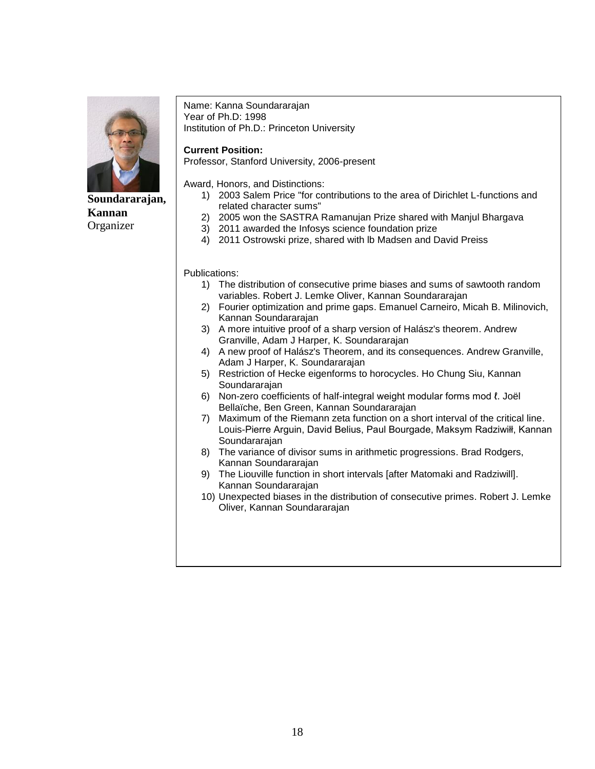

## **Soundararajan, Kannan Organizer**

Name: Kanna Soundararajan Year of Ph.D: 1998 Institution of Ph.D.: Princeton University

#### **Current Position:**

Professor, Stanford University, 2006-present

Award, Honors, and Distinctions:

- 1) 2003 Salem Price "for contributions to the area of Dirichlet L-functions and related character sums"
- 2) 2005 won the SASTRA Ramanujan Prize shared with Manjul Bhargava
- 3) 2011 awarded the Infosys science foundation prize
- 4) 2011 Ostrowski prize, shared with lb Madsen and David Preiss

- 1) The distribution of consecutive prime biases and sums of sawtooth random variables. Robert J. Lemke Oliver, Kannan Soundararajan
- 2) Fourier optimization and prime gaps. Emanuel Carneiro, Micah B. Milinovich, Kannan Soundararajan
- 3) A more intuitive proof of a sharp version of Halász's theorem. Andrew Granville, Adam J Harper, K. Soundararajan
- 4) A new proof of Halász's Theorem, and its consequences. Andrew Granville, Adam J Harper, K. Soundararajan
- 5) Restriction of Hecke eigenforms to horocycles. Ho Chung Siu, Kannan Soundararajan
- 6) Non-zero coefficients of half-integral weight modular forms mod ℓ. Joël Bellaïche, Ben Green, Kannan Soundararajan
- 7) Maximum of the Riemann zeta function on a short interval of the critical line. Louis-Pierre Arguin, David Belius, Paul Bourgade, Maksym Radziwiłł, Kannan Soundararajan
- 8) The variance of divisor sums in arithmetic progressions. Brad Rodgers, Kannan Soundararajan
- 9) The Liouville function in short intervals [after Matomaki and Radziwill]. Kannan Soundararajan
- 10) Unexpected biases in the distribution of consecutive primes. Robert J. Lemke Oliver, Kannan Soundararajan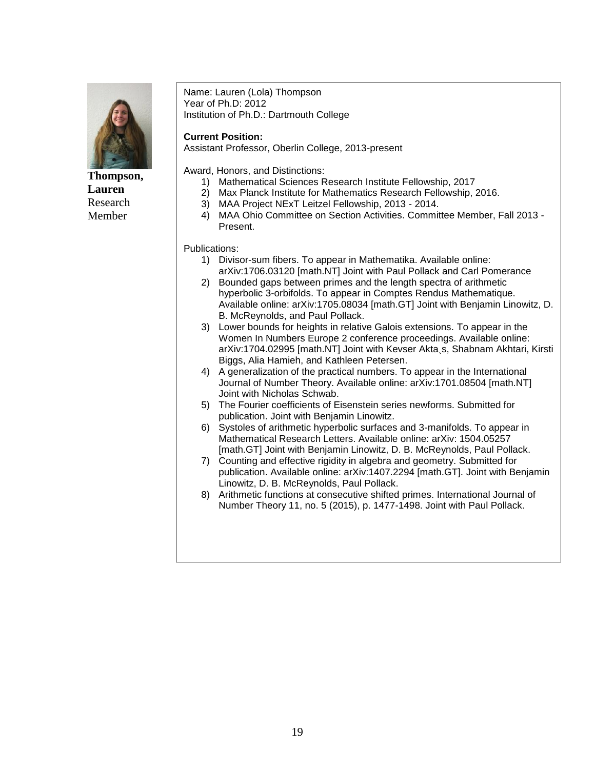

**Thompson, Lauren** Research Member

Name: Lauren (Lola) Thompson Year of Ph.D: 2012 Institution of Ph.D.: Dartmouth College

#### **Current Position:**

Assistant Professor, Oberlin College, 2013-present

Award, Honors, and Distinctions:

- 1) Mathematical Sciences Research Institute Fellowship, 2017
- 2) Max Planck Institute for Mathematics Research Fellowship, 2016.
	- 3) MAA Project NExT Leitzel Fellowship, 2013 2014.
- 4) MAA Ohio Committee on Section Activities. Committee Member, Fall 2013 Present.

- 1) Divisor-sum fibers. To appear in Mathematika. Available online: arXiv:1706.03120 [math.NT] Joint with Paul Pollack and Carl Pomerance
- 2) Bounded gaps between primes and the length spectra of arithmetic hyperbolic 3-orbifolds. To appear in Comptes Rendus Mathematique. Available online: arXiv:1705.08034 [math.GT] Joint with Benjamin Linowitz, D. B. McReynolds, and Paul Pollack.
- 3) Lower bounds for heights in relative Galois extensions. To appear in the Women In Numbers Europe 2 conference proceedings. Available online: arXiv:1704.02995 [math.NT] Joint with Kevser Akta¸s, Shabnam Akhtari, Kirsti Biggs, Alia Hamieh, and Kathleen Petersen.
- 4) A generalization of the practical numbers. To appear in the International Journal of Number Theory. Available online: arXiv:1701.08504 [math.NT] Joint with Nicholas Schwab.
- 5) The Fourier coefficients of Eisenstein series newforms. Submitted for publication. Joint with Benjamin Linowitz.
- 6) Systoles of arithmetic hyperbolic surfaces and 3-manifolds. To appear in Mathematical Research Letters. Available online: arXiv: 1504.05257 [math.GT] Joint with Benjamin Linowitz, D. B. McReynolds, Paul Pollack.
- 7) Counting and effective rigidity in algebra and geometry. Submitted for publication. Available online: arXiv:1407.2294 [math.GT]. Joint with Benjamin Linowitz, D. B. McReynolds, Paul Pollack.
- 8) Arithmetic functions at consecutive shifted primes. International Journal of Number Theory 11, no. 5 (2015), p. 1477-1498. Joint with Paul Pollack.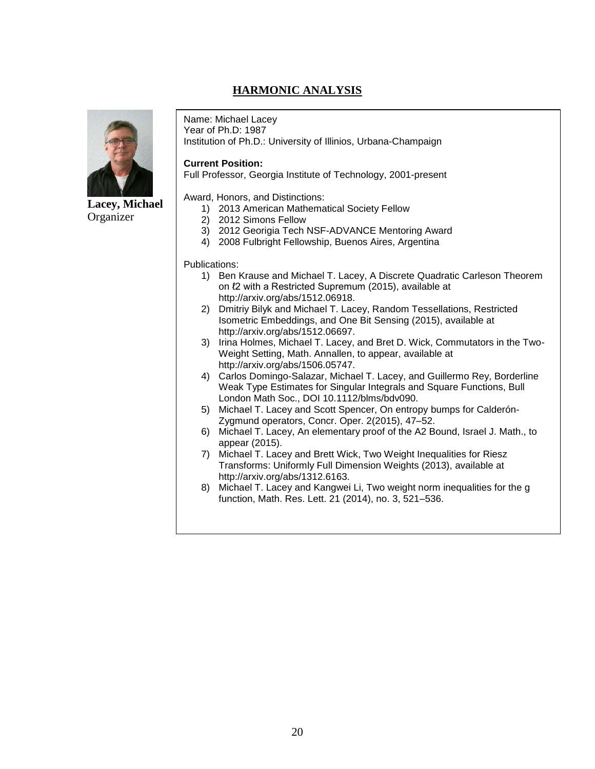## **HARMONIC ANALYSIS**



**Lacey, Michael Organizer** 

Name: Michael Lacey

Year of Ph.D: 1987 Institution of Ph.D.: University of Illinios, Urbana-Champaign

#### **Current Position:**

Full Professor, Georgia Institute of Technology, 2001-present

Award, Honors, and Distinctions:

- 1) 2013 American Mathematical Society Fellow
- 2) 2012 Simons Fellow
- 3) 2012 Georigia Tech NSF-ADVANCE Mentoring Award
- 4) 2008 Fulbright Fellowship, Buenos Aires, Argentina

- 1) Ben Krause and Michael T. Lacey, A Discrete Quadratic Carleson Theorem on  $l2$  with a Restricted Supremum (2015), available at http://arxiv.org/abs/1512.06918.
- 2) Dmitriy Bilyk and Michael T. Lacey, Random Tessellations, Restricted Isometric Embeddings, and One Bit Sensing (2015), available at http://arxiv.org/abs/1512.06697.
- 3) Irina Holmes, Michael T. Lacey, and Bret D. Wick, Commutators in the Two-Weight Setting, Math. Annallen, to appear, available at http://arxiv.org/abs/1506.05747.
- 4) Carlos Domingo-Salazar, Michael T. Lacey, and Guillermo Rey, Borderline Weak Type Estimates for Singular Integrals and Square Functions, Bull London Math Soc., DOI 10.1112/blms/bdv090.
- 5) Michael T. Lacey and Scott Spencer, On entropy bumps for Calderón-Zygmund operators, Concr. Oper. 2(2015), 47–52.
- 6) Michael T. Lacey, An elementary proof of the A2 Bound, Israel J. Math., to appear (2015).
- 7) Michael T. Lacey and Brett Wick, Two Weight Inequalities for Riesz Transforms: Uniformly Full Dimension Weights (2013), available at http://arxiv.org/abs/1312.6163.
- 8) Michael T. Lacey and Kangwei Li, Two weight norm inequalities for the g function, Math. Res. Lett. 21 (2014), no. 3, 521–536.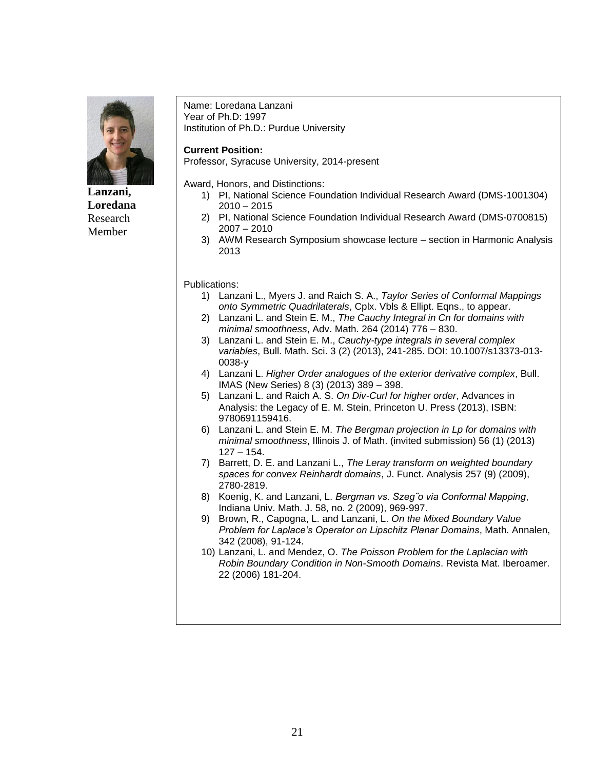

**Lanzani, Loredana** Research Member

Name: Loredana Lanzani Year of Ph.D: 1997 Institution of Ph.D.: Purdue University

#### **Current Position:**

Professor, Syracuse University, 2014-present

Award, Honors, and Distinctions:

- 1) PI, National Science Foundation Individual Research Award (DMS-1001304)  $2010 - 2015$
- 2) PI, National Science Foundation Individual Research Award (DMS-0700815) 2007 – 2010
- 3) AWM Research Symposium showcase lecture section in Harmonic Analysis 2013

- 1) Lanzani L., Myers J. and Raich S. A., *Taylor Series of Conformal Mappings onto Symmetric Quadrilaterals*, Cplx. Vbls & Ellipt. Eqns., to appear.
- 2) Lanzani L. and Stein E. M., *The Cauchy Integral in Cn for domains with minimal smoothness*, Adv. Math. 264 (2014) 776 – 830.
- 3) Lanzani L. and Stein E. M., *Cauchy-type integrals in several complex variables*, Bull. Math. Sci. 3 (2) (2013), 241-285. DOI: 10.1007/s13373-013- 0038-y
- 4) Lanzani L. *Higher Order analogues of the exterior derivative complex*, Bull. IMAS (New Series) 8 (3) (2013) 389 – 398.
- 5) Lanzani L. and Raich A. S. *On Div-Curl for higher order*, Advances in Analysis: the Legacy of E. M. Stein, Princeton U. Press (2013), ISBN: 9780691159416.
- 6) Lanzani L. and Stein E. M. *The Bergman projection in Lp for domains with minimal smoothness*, Illinois J. of Math. (invited submission) 56 (1) (2013)  $127 - 154$
- 7) Barrett, D. E. and Lanzani L., *The Leray transform on weighted boundary spaces for convex Reinhardt domains*, J. Funct. Analysis 257 (9) (2009), 2780-2819.
- 8) Koenig, K. and Lanzani, L. *Bergman vs. Szeg˝o via Conformal Mapping*, Indiana Univ. Math. J. 58, no. 2 (2009), 969-997.
- 9) Brown, R., Capogna, L. and Lanzani, L. *On the Mixed Boundary Value Problem for Laplace's Operator on Lipschitz Planar Domains*, Math. Annalen, 342 (2008), 91-124.
- 10) Lanzani, L. and Mendez, O. *The Poisson Problem for the Laplacian with Robin Boundary Condition in Non-Smooth Domains*. Revista Mat. Iberoamer. 22 (2006) 181-204.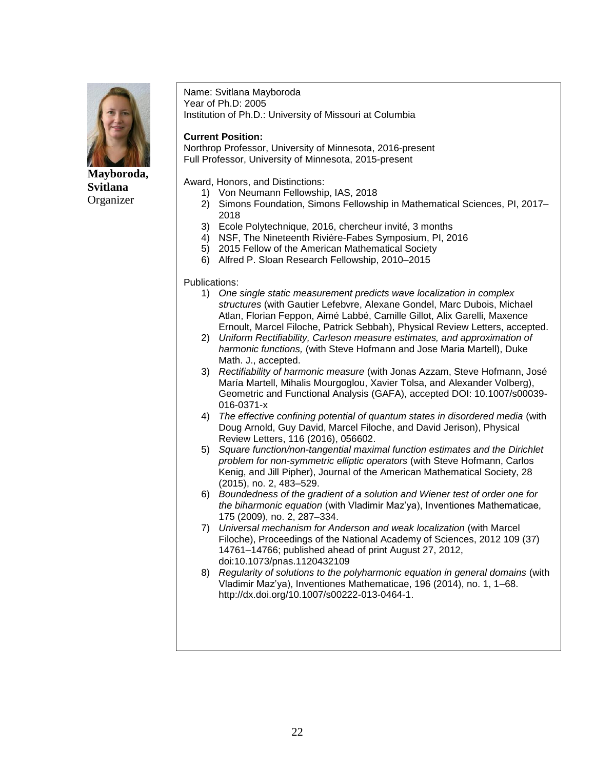

**Mayboroda, Svitlana** Organizer

Name: Svitlana Mayboroda Year of Ph.D: 2005 Institution of Ph.D.: University of Missouri at Columbia

### **Current Position:**

Northrop Professor, University of Minnesota, 2016-present Full Professor, University of Minnesota, 2015-present

Award, Honors, and Distinctions:

- 1) Von Neumann Fellowship, IAS, 2018
- 2) Simons Foundation, Simons Fellowship in Mathematical Sciences, PI, 2017– 2018
- 3) Ecole Polytechnique, 2016, chercheur invité, 3 months
- 4) NSF, The Nineteenth Rivière-Fabes Symposium, PI, 2016
- 5) 2015 Fellow of the American Mathematical Society
- 6) Alfred P. Sloan Research Fellowship, 2010–2015

- 1) *One single static measurement predicts wave localization in complex structures* (with Gautier Lefebvre, Alexane Gondel, Marc Dubois, Michael Atlan, Florian Feppon, Aimé Labbé, Camille Gillot, Alix Garelli, Maxence Ernoult, Marcel Filoche, Patrick Sebbah), Physical Review Letters, accepted.
- 2) *Uniform Rectifiability, Carleson measure estimates, and approximation of harmonic functions,* (with Steve Hofmann and Jose Maria Martell), Duke Math. J., accepted.
- 3) *Rectifiability of harmonic measure* (with Jonas Azzam, Steve Hofmann, José María Martell, Mihalis Mourgoglou, Xavier Tolsa, and Alexander Volberg), Geometric and Functional Analysis (GAFA), accepted DOI: 10.1007/s00039- 016-0371-x
- 4) *The effective confining potential of quantum states in disordered media* (with Doug Arnold, Guy David, Marcel Filoche, and David Jerison), Physical Review Letters, 116 (2016), 056602.
- 5) *Square function/non-tangential maximal function estimates and the Dirichlet problem for non-symmetric elliptic operators* (with Steve Hofmann, Carlos Kenig, and Jill Pipher), Journal of the American Mathematical Society, 28 (2015), no. 2, 483–529.
- 6) *Boundedness of the gradient of a solution and Wiener test of order one for the biharmonic equation* (with Vladimir Maz'ya), Inventiones Mathematicae, 175 (2009), no. 2, 287–334.
- 7) *Universal mechanism for Anderson and weak localization* (with Marcel Filoche), Proceedings of the National Academy of Sciences, 2012 109 (37) 14761–14766; published ahead of print August 27, 2012, doi:10.1073/pnas.1120432109
- 8) *Regularity of solutions to the polyharmonic equation in general domains* (with Vladimir Maz'ya), Inventiones Mathematicae, 196 (2014), no. 1, 1–68. http://dx.doi.org/10.1007/s00222-013-0464-1.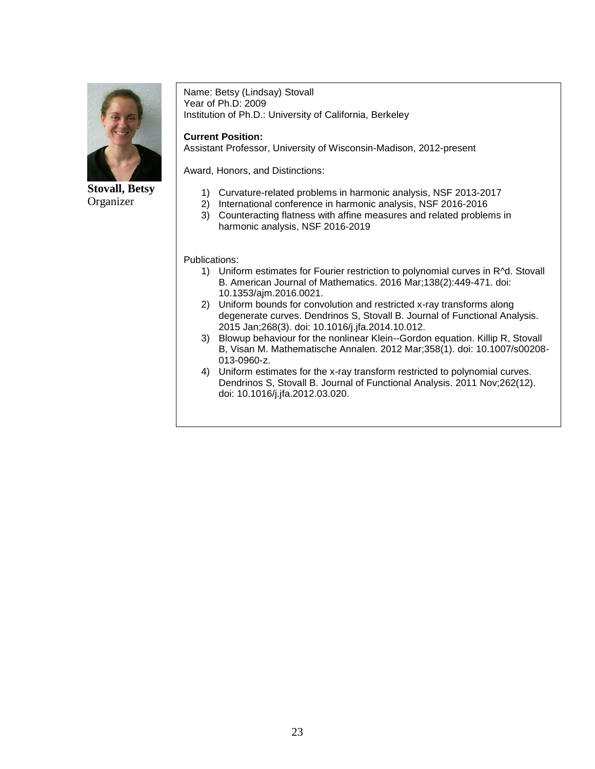

**Stovall, Betsy** Organizer

Name: Betsy (Lindsay) Stovall Year of Ph.D: 2009 Institution of Ph.D.: University of California, Berkeley

**Current Position:**

Assistant Professor, University of Wisconsin-Madison, 2012-present

Award, Honors, and Distinctions:

- 1) Curvature-related problems in harmonic analysis, NSF 2013-2017
- 2) International conference in harmonic analysis, NSF 2016-2016
- 3) Counteracting flatness with affine measures and related problems in harmonic analysis, NSF 2016-2019

- 1) Uniform estimates for Fourier restriction to polynomial curves in R^d. Stovall B. American Journal of Mathematics. 2016 Mar;138(2):449-471. doi: 10.1353/ajm.2016.0021.
- 2) Uniform bounds for convolution and restricted x-ray transforms along degenerate curves. Dendrinos S, Stovall B. Journal of Functional Analysis. 2015 Jan;268(3). doi: 10.1016/j.jfa.2014.10.012.
- 3) Blowup behaviour for the nonlinear Klein--Gordon equation. Killip R, Stovall B, Visan M. Mathematische Annalen. 2012 Mar;358(1). doi: 10.1007/s00208- 013-0960-z.
- 4) Uniform estimates for the x-ray transform restricted to polynomial curves. Dendrinos S, Stovall B. Journal of Functional Analysis. 2011 Nov;262(12). doi: 10.1016/j.jfa.2012.03.020.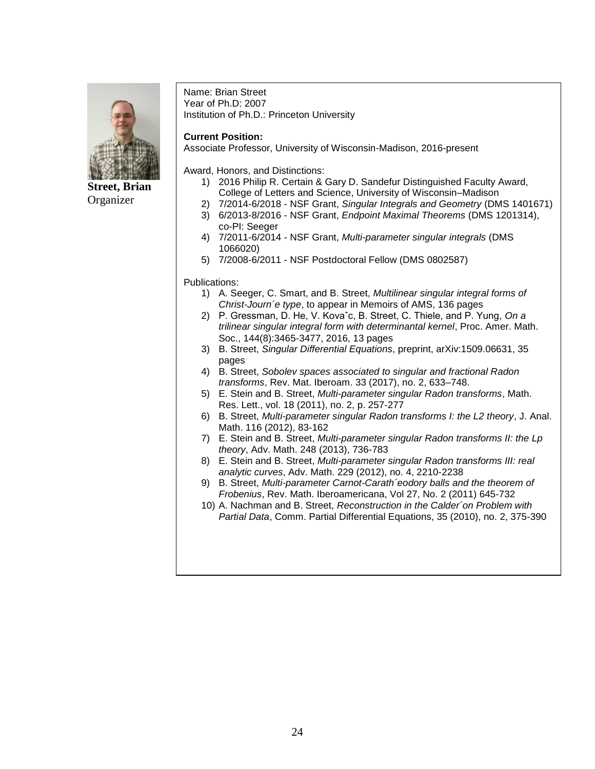

**Street, Brian** Organizer

Name: Brian Street Year of Ph.D: 2007 Institution of Ph.D.: Princeton University

#### **Current Position:**

Associate Professor, University of Wisconsin-Madison, 2016-present

Award, Honors, and Distinctions:

- 1) 2016 Philip R. Certain & Gary D. Sandefur Distinguished Faculty Award, College of Letters and Science, University of Wisconsin–Madison
- 2) 7/2014-6/2018 NSF Grant, *Singular Integrals and Geometry* (DMS 1401671)
- 3) 6/2013-8/2016 NSF Grant, *Endpoint Maximal Theorems* (DMS 1201314), co-PI: Seeger
- 4) 7/2011-6/2014 NSF Grant, *Multi-parameter singular integrals* (DMS 1066020)
- 5) 7/2008-6/2011 NSF Postdoctoral Fellow (DMS 0802587)

- 1) A. Seeger, C. Smart, and B. Street, *Multilinear singular integral forms of Christ-Journ´e type*, to appear in Memoirs of AMS, 136 pages
- 2) P. Gressman, D. He, V. Kovaˇc, B. Street, C. Thiele, and P. Yung, *On a trilinear singular integral form with determinantal kernel*, Proc. Amer. Math. Soc., 144(8):3465-3477, 2016, 13 pages
- 3) B. Street, *Singular Differential Equations*, preprint, arXiv:1509.06631, 35 pages
- 4) B. Street, *Sobolev spaces associated to singular and fractional Radon transforms*, Rev. Mat. Iberoam. 33 (2017), no. 2, 633–748.
- 5) E. Stein and B. Street, *Multi-parameter singular Radon transforms*, Math. Res. Lett., vol. 18 (2011), no. 2, p. 257-277
- 6) B. Street, *Multi-parameter singular Radon transforms I: the L2 theory*, J. Anal. Math. 116 (2012), 83-162
- 7) E. Stein and B. Street, *Multi-parameter singular Radon transforms II: the Lp theory*, Adv. Math. 248 (2013), 736-783
- 8) E. Stein and B. Street, *Multi-parameter singular Radon transforms III: real analytic curves*, Adv. Math. 229 (2012), no. 4, 2210-2238
- 9) B. Street, *Multi-parameter Carnot-Carath´eodory balls and the theorem of Frobenius*, Rev. Math. Iberoamericana, Vol 27, No. 2 (2011) 645-732
- 10) A. Nachman and B. Street, *Reconstruction in the Calder´on Problem with Partial Data*, Comm. Partial Differential Equations, 35 (2010), no. 2, 375-390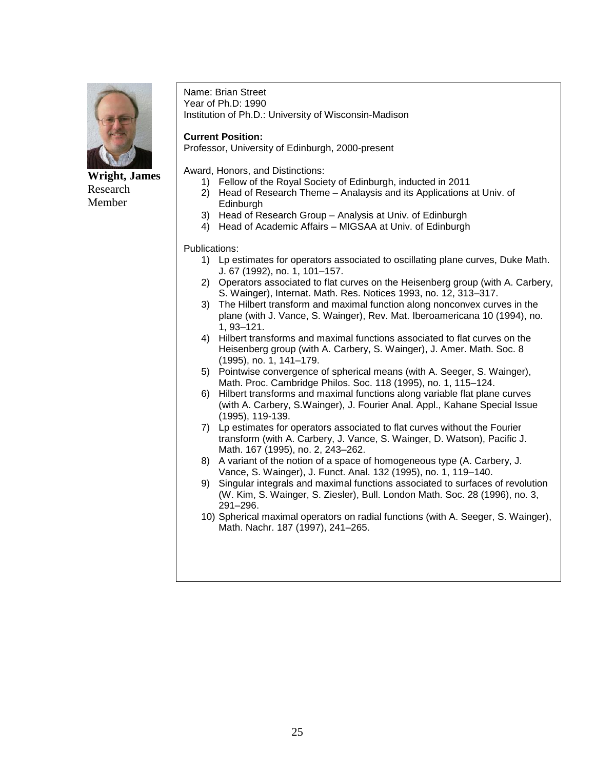

**Wright, James** Research Member

Name: Brian Street Year of Ph.D: 1990 Institution of Ph.D.: University of Wisconsin-Madison

#### **Current Position:**

Professor, University of Edinburgh, 2000-present

Award, Honors, and Distinctions:

- 1) Fellow of the Royal Society of Edinburgh, inducted in 2011
- 2) Head of Research Theme Analaysis and its Applications at Univ. of Edinburgh
- 3) Head of Research Group Analysis at Univ. of Edinburgh
- 4) Head of Academic Affairs MIGSAA at Univ. of Edinburgh

- 1) Lp estimates for operators associated to oscillating plane curves, Duke Math. J. 67 (1992), no. 1, 101–157.
- 2) Operators associated to flat curves on the Heisenberg group (with A. Carbery, S. Wainger), Internat. Math. Res. Notices 1993, no. 12, 313–317.
- 3) The Hilbert transform and maximal function along nonconvex curves in the plane (with J. Vance, S. Wainger), Rev. Mat. Iberoamericana 10 (1994), no. 1, 93–121.
- 4) Hilbert transforms and maximal functions associated to flat curves on the Heisenberg group (with A. Carbery, S. Wainger), J. Amer. Math. Soc. 8 (1995), no. 1, 141–179.
- 5) Pointwise convergence of spherical means (with A. Seeger, S. Wainger), Math. Proc. Cambridge Philos. Soc. 118 (1995), no. 1, 115–124.
- 6) Hilbert transforms and maximal functions along variable flat plane curves (with A. Carbery, S.Wainger), J. Fourier Anal. Appl., Kahane Special Issue (1995), 119-139.
- 7) Lp estimates for operators associated to flat curves without the Fourier transform (with A. Carbery, J. Vance, S. Wainger, D. Watson), Pacific J. Math. 167 (1995), no. 2, 243–262.
- 8) A variant of the notion of a space of homogeneous type (A. Carbery, J. Vance, S. Wainger), J. Funct. Anal. 132 (1995), no. 1, 119–140.
- 9) Singular integrals and maximal functions associated to surfaces of revolution (W. Kim, S. Wainger, S. Ziesler), Bull. London Math. Soc. 28 (1996), no. 3, 291–296.
- 10) Spherical maximal operators on radial functions (with A. Seeger, S. Wainger), Math. Nachr. 187 (1997), 241–265.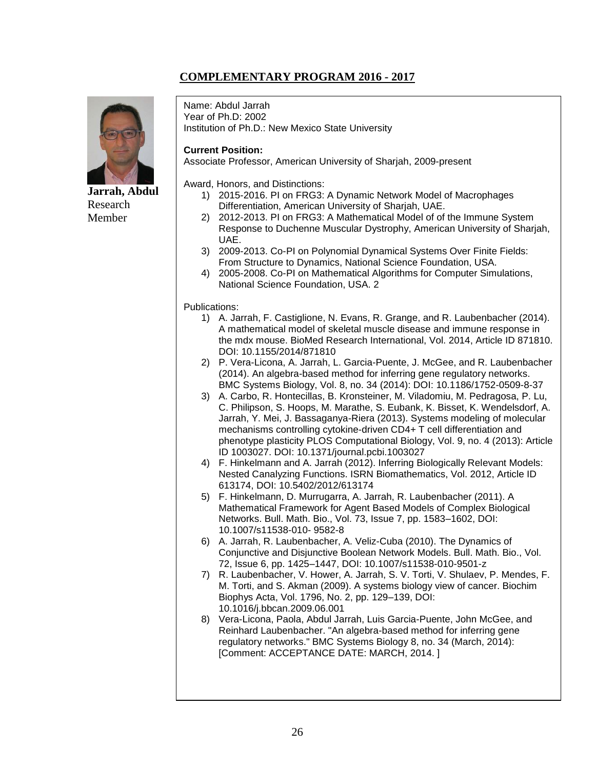## **COMPLEMENTARY PROGRAM 2016 - 2017**



**Jarrah, Abdul** Research Member

Name: Abdul Jarrah Year of Ph.D: 2002 Institution of Ph.D.: New Mexico State University

#### **Current Position:**

Associate Professor, American University of Sharjah, 2009-present

Award, Honors, and Distinctions:

- 1) 2015-2016. PI on FRG3: A Dynamic Network Model of Macrophages Differentiation, American University of Sharjah, UAE.
- 2) 2012-2013. PI on FRG3: A Mathematical Model of of the Immune System Response to Duchenne Muscular Dystrophy, American University of Sharjah, UAE.
- 3) 2009-2013. Co-PI on Polynomial Dynamical Systems Over Finite Fields: From Structure to Dynamics, National Science Foundation, USA.
- 4) 2005-2008. Co-PI on Mathematical Algorithms for Computer Simulations, National Science Foundation, USA. 2

- 1) A. Jarrah, F. Castiglione, N. Evans, R. Grange, and R. Laubenbacher (2014). A mathematical model of skeletal muscle disease and immune response in the mdx mouse. BioMed Research International, Vol. 2014, Article ID 871810. DOI: 10.1155/2014/871810
- 2) P. Vera-Licona, A. Jarrah, L. Garcia-Puente, J. McGee, and R. Laubenbacher (2014). An algebra-based method for inferring gene regulatory networks. BMC Systems Biology, Vol. 8, no. 34 (2014): DOI: 10.1186/1752-0509-8-37
- 3) A. Carbo, R. Hontecillas, B. Kronsteiner, M. Viladomiu, M. Pedragosa, P. Lu, C. Philipson, S. Hoops, M. Marathe, S. Eubank, K. Bisset, K. Wendelsdorf, A. Jarrah, Y. Mei, J. Bassaganya-Riera (2013). Systems modeling of molecular mechanisms controlling cytokine-driven CD4+ T cell differentiation and phenotype plasticity PLOS Computational Biology, Vol. 9, no. 4 (2013): Article ID 1003027. DOI: 10.1371/journal.pcbi.1003027
- 4) F. Hinkelmann and A. Jarrah (2012). Inferring Biologically Relevant Models: Nested Canalyzing Functions. ISRN Biomathematics, Vol. 2012, Article ID 613174, DOI: 10.5402/2012/613174
- 5) F. Hinkelmann, D. Murrugarra, A. Jarrah, R. Laubenbacher (2011). A Mathematical Framework for Agent Based Models of Complex Biological Networks. Bull. Math. Bio., Vol. 73, Issue 7, pp. 1583–1602, DOI: 10.1007/s11538-010- 9582-8
- 6) A. Jarrah, R. Laubenbacher, A. Veliz-Cuba (2010). The Dynamics of Conjunctive and Disjunctive Boolean Network Models. Bull. Math. Bio., Vol. 72, Issue 6, pp. 1425–1447, DOI: 10.1007/s11538-010-9501-z
- 7) R. Laubenbacher, V. Hower, A. Jarrah, S. V. Torti, V. Shulaev, P. Mendes, F. M. Torti, and S. Akman (2009). A systems biology view of cancer. Biochim Biophys Acta, Vol. 1796, No. 2, pp. 129–139, DOI: 10.1016/j.bbcan.2009.06.001
- 8) Vera-Licona, Paola, Abdul Jarrah, Luis Garcia-Puente, John McGee, and Reinhard Laubenbacher. "An algebra-based method for inferring gene regulatory networks." BMC Systems Biology 8, no. 34 (March, 2014): [Comment: ACCEPTANCE DATE: MARCH, 2014. ]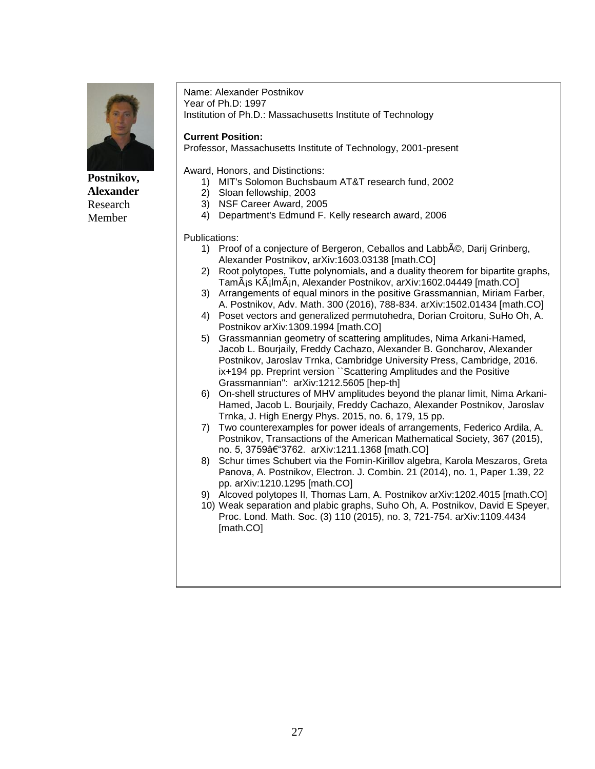

**Postnikov, Alexander** Research Member

Name: Alexander Postnikov Year of Ph.D: 1997 Institution of Ph.D.: Massachusetts Institute of Technology

#### **Current Position:**

Professor, Massachusetts Institute of Technology, 2001-present

Award, Honors, and Distinctions:

- 1) MIT's Solomon Buchsbaum AT&T research fund, 2002
- 2) Sloan fellowship, 2003
- 3) NSF Career Award, 2005
- 4) Department's Edmund F. Kelly research award, 2006

- 1) Proof of a conjecture of Bergeron, Ceballos and Labbé, Darij Grinberg, Alexander Postnikov, arXiv:1603.03138 [math.CO]
- 2) Root polytopes, Tutte polynomials, and a duality theorem for bipartite graphs, TamÃis KÃilmÃin, Alexander Postnikov, arXiv:1602.04449 [math.CO]
- 3) Arrangements of equal minors in the positive Grassmannian, Miriam Farber, A. Postnikov, Adv. Math. 300 (2016), 788-834. arXiv:1502.01434 [math.CO]
- 4) Poset vectors and generalized permutohedra, Dorian Croitoru, SuHo Oh, A. Postnikov arXiv:1309.1994 [math.CO]
- 5) Grassmannian geometry of scattering amplitudes, Nima Arkani-Hamed, Jacob L. Bourjaily, Freddy Cachazo, Alexander B. Goncharov, Alexander Postnikov, Jaroslav Trnka, Cambridge University Press, Cambridge, 2016. ix+194 pp. Preprint version ``Scattering Amplitudes and the Positive Grassmannian'': arXiv:1212.5605 [hep-th]
- 6) On-shell structures of MHV amplitudes beyond the planar limit, Nima Arkani-Hamed, Jacob L. Bourjaily, Freddy Cachazo, Alexander Postnikov, Jaroslav Trnka, J. High Energy Phys. 2015, no. 6, 179, 15 pp.
- 7) Two counterexamples for power ideals of arrangements, Federico Ardila, A. Postnikov, Transactions of the American Mathematical Society, 367 (2015), no. 5, 3759†3762. arXiv:1211.1368 [math.CO]
- 8) Schur times Schubert via the Fomin-Kirillov algebra, Karola Meszaros, Greta Panova, A. Postnikov, Electron. J. Combin. 21 (2014), no. 1, Paper 1.39, 22 pp. arXiv:1210.1295 [math.CO]
- 9) Alcoved polytopes II, Thomas Lam, A. Postnikov arXiv:1202.4015 [math.CO]
- 10) Weak separation and plabic graphs, Suho Oh, A. Postnikov, David E Speyer, Proc. Lond. Math. Soc. (3) 110 (2015), no. 3, 721-754. arXiv:1109.4434 [math.CO]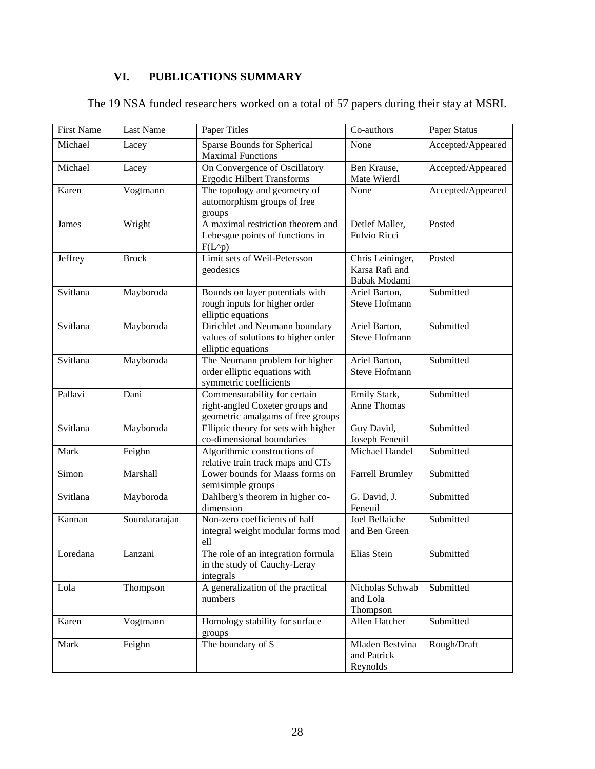## **VI. PUBLICATIONS SUMMARY**

| <b>First Name</b> | <b>Last Name</b> | Paper Titles                                                                                         | Co-authors                                         | Paper Status      |
|-------------------|------------------|------------------------------------------------------------------------------------------------------|----------------------------------------------------|-------------------|
| Michael           | Lacey            | Sparse Bounds for Spherical<br><b>Maximal Functions</b>                                              | None                                               | Accepted/Appeared |
| Michael           | Lacey            | On Convergence of Oscillatory<br><b>Ergodic Hilbert Transforms</b>                                   | Ben Krause,<br>Mate Wierdl                         | Accepted/Appeared |
| Karen             | Vogtmann         | The topology and geometry of<br>automorphism groups of free<br>groups                                | None                                               | Accepted/Appeared |
| James             | Wright           | A maximal restriction theorem and<br>Lebesgue points of functions in<br>$F(L^p)$                     | Detlef Maller,<br><b>Fulvio Ricci</b>              | Posted            |
| Jeffrey           | <b>Brock</b>     | Limit sets of Weil-Petersson<br>geodesics                                                            | Chris Leininger,<br>Karsa Rafi and<br>Babak Modami | Posted            |
| Svitlana          | Mayboroda        | Bounds on layer potentials with<br>rough inputs for higher order<br>elliptic equations               | Ariel Barton,<br><b>Steve Hofmann</b>              | Submitted         |
| Svitlana          | Mayboroda        | Dirichlet and Neumann boundary<br>values of solutions to higher order<br>elliptic equations          | Ariel Barton,<br><b>Steve Hofmann</b>              | Submitted         |
| Svitlana          | Mayboroda        | The Neumann problem for higher<br>order elliptic equations with<br>symmetric coefficients            | Ariel Barton,<br><b>Steve Hofmann</b>              | Submitted         |
| Pallavi           | Dani             | Commensurability for certain<br>right-angled Coxeter groups and<br>geometric amalgams of free groups | Emily Stark,<br>Anne Thomas                        | Submitted         |
| Svitlana          | Mayboroda        | Elliptic theory for sets with higher<br>co-dimensional boundaries                                    | Guy David,<br>Joseph Feneuil                       | Submitted         |
| Mark              | Feighn           | Algorithmic constructions of<br>relative train track maps and CTs                                    | Michael Handel                                     | Submitted         |
| Simon             | Marshall         | Lower bounds for Maass forms on<br>semisimple groups                                                 | <b>Farrell Brumley</b>                             | Submitted         |
| Svitlana          | Mayboroda        | Dahlberg's theorem in higher co-<br>dimension                                                        | G. David, J.<br>Feneuil                            | Submitted         |
| Kannan            | Soundararajan    | Non-zero coefficients of half<br>integral weight modular forms mod<br>ell                            | Joel Bellaiche<br>and Ben Green                    | Submitted         |
| Loredana          | Lanzani          | The role of an integration formula<br>in the study of Cauchy-Leray<br>integrals                      | Elias Stein                                        | Submitted         |
| Lola              | Thompson         | A generalization of the practical<br>numbers                                                         | Nicholas Schwab<br>and Lola<br>Thompson            | Submitted         |
| Karen             | Vogtmann         | Homology stability for surface<br>groups                                                             | Allen Hatcher                                      | Submitted         |
| Mark              | Feighn           | The boundary of S                                                                                    | Mladen Bestvina<br>and Patrick<br>Reynolds         | Rough/Draft       |

The 19 NSA funded researchers worked on a total of 57 papers during their stay at MSRI.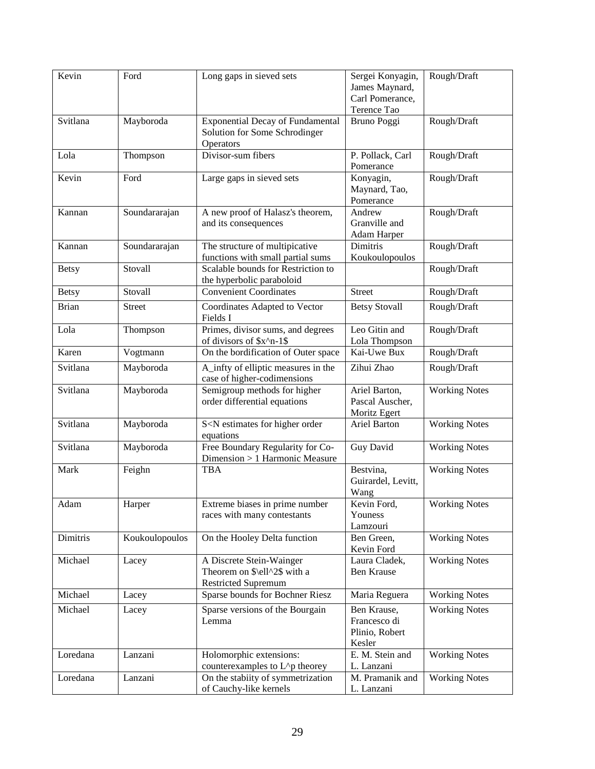| Kevin        | Ford           | Long gaps in sieved sets                                                               | Sergei Konyagin,<br>James Maynard,<br>Carl Pomerance,<br>Terence Tao | Rough/Draft          |
|--------------|----------------|----------------------------------------------------------------------------------------|----------------------------------------------------------------------|----------------------|
| Svitlana     | Mayboroda      | <b>Exponential Decay of Fundamental</b><br>Solution for Some Schrodinger<br>Operators  | Bruno Poggi                                                          | Rough/Draft          |
| Lola         | Thompson       | Divisor-sum fibers                                                                     | P. Pollack, Carl<br>Pomerance                                        | Rough/Draft          |
| Kevin        | Ford           | Large gaps in sieved sets                                                              | Konyagin,<br>Maynard, Tao,<br>Pomerance                              | Rough/Draft          |
| Kannan       | Soundararajan  | A new proof of Halasz's theorem,<br>and its consequences                               | Andrew<br>Granville and<br>Adam Harper                               | Rough/Draft          |
| Kannan       | Soundararajan  | The structure of multipicative<br>functions with small partial sums                    | Dimitris<br>Koukoulopoulos                                           | Rough/Draft          |
| <b>Betsy</b> | Stovall        | Scalable bounds for Restriction to<br>the hyperbolic paraboloid                        |                                                                      | Rough/Draft          |
| <b>Betsy</b> | Stovall        | <b>Convenient Coordinates</b>                                                          | <b>Street</b>                                                        | Rough/Draft          |
| <b>Brian</b> | <b>Street</b>  | Coordinates Adapted to Vector<br>Fields I                                              | <b>Betsy Stovall</b>                                                 | Rough/Draft          |
| Lola         | Thompson       | Primes, divisor sums, and degrees<br>of divisors of \$x^n-1\$                          | Leo Gitin and<br>Lola Thompson                                       | Rough/Draft          |
| Karen        | Vogtmann       | On the bordification of Outer space                                                    | Kai-Uwe Bux                                                          | Rough/Draft          |
| Svitlana     | Mayboroda      | A_infty of elliptic measures in the<br>case of higher-codimensions                     | Zihui Zhao                                                           | Rough/Draft          |
| Svitlana     | Mayboroda      | Semigroup methods for higher<br>order differential equations                           | Ariel Barton,<br>Pascal Auscher,<br>Moritz Egert                     | <b>Working Notes</b> |
| Svitlana     | Mayboroda      | S <n estimates="" for="" higher="" order<br="">equations</n>                           | <b>Ariel Barton</b>                                                  | <b>Working Notes</b> |
| Svitlana     | Mayboroda      | Free Boundary Regularity for Co-<br>Dimension > 1 Harmonic Measure                     | Guy David                                                            | <b>Working Notes</b> |
| Mark         | Feighn         | <b>TBA</b>                                                                             | Bestvina,<br>Guirardel, Levitt,<br>Wang                              | <b>Working Notes</b> |
| Adam         | Harper         | Extreme biases in prime number<br>races with many contestants                          | Kevin Ford,<br>Youness<br>Lamzouri                                   | <b>Working Notes</b> |
| Dimitris     | Koukoulopoulos | On the Hooley Delta function                                                           | Ben Green,<br>Kevin Ford                                             | <b>Working Notes</b> |
| Michael      | Lacey          | A Discrete Stein-Wainger<br>Theorem on \$\ell^2\$ with a<br><b>Restricted Supremum</b> | Laura Cladek,<br>Ben Krause                                          | <b>Working Notes</b> |
| Michael      | Lacey          | Sparse bounds for Bochner Riesz                                                        | Maria Reguera                                                        | <b>Working Notes</b> |
| Michael      | Lacey          | Sparse versions of the Bourgain<br>Lemma                                               | Ben Krause,<br>Francesco di<br>Plinio, Robert<br>Kesler              | <b>Working Notes</b> |
| Loredana     | Lanzani        | Holomorphic extensions:<br>counterexamples to L^p theorey                              | E. M. Stein and<br>L. Lanzani                                        | <b>Working Notes</b> |
| Loredana     | Lanzani        | On the stabiity of symmetrization<br>of Cauchy-like kernels                            | M. Pramanik and<br>L. Lanzani                                        | <b>Working Notes</b> |